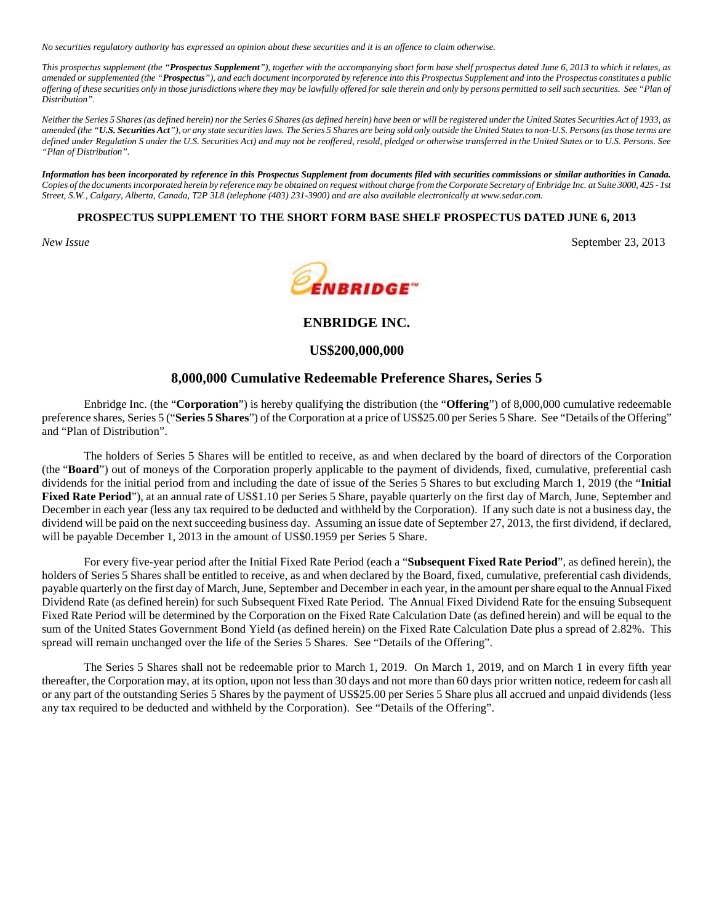*No securities regulatory authority has expressed an opinion about these securities and it is an offence to claim otherwise.*

*This prospectus supplement (the "Prospectus Supplement"), together with the accompanying short form base shelf prospectus dated June 6, 2013 to which it relates, as amended or supplemented (the "Prospectus"), and each document incorporated by reference into this Prospectus Supplement and into the Prospectus constitutes a public offering of these securities only in those jurisdictions where they may be lawfully offered for sale therein and only by persons permitted to sell such securities. See "Plan of Distribution".*

*Neither the Series 5 Shares (as defined herein) nor the Series 6 Shares (as defined herein) have been or will be registered under the United States Securities Act of 1933, as amended (the "U.S. Securities Act"), or any state securities laws. The Series 5 Shares are being sold only outside the United States to non-U.S. Persons (as those terms are defined under Regulation S under the U.S. Securities Act) and may not be reoffered, resold, pledged or otherwise transferred in the United States or to U.S. Persons. See "Plan of Distribution".*

*Information has been incorporated by reference in this Prospectus Supplement from documents filed with securities commissions or similar authorities in Canada. Copies of the documents incorporated herein by reference may be obtained on request without charge from the Corporate Secretary of Enbridge Inc. at Suite 3000, 425 - 1st Street, S.W., Calgary, Alberta, Canada, T2P 3L8 (telephone (403) 231-3900) and are also available electronically at www.sedar.com.*

# **PROSPECTUS SUPPLEMENT TO THE SHORT FORM BASE SHELF PROSPECTUS DATED JUNE 6, 2013**





# **ENBRIDGE INC.**

# **US\$200,000,000**

# **8,000,000 Cumulative Redeemable Preference Shares, Series 5**

Enbridge Inc. (the "**Corporation**") is hereby qualifying the distribution (the "**Offering**") of 8,000,000 cumulative redeemable preference shares, Series 5 ("**Series 5 Shares**") of the Corporation at a price of US\$25.00 per Series 5 Share. See "Details of the Offering" and "Plan of Distribution".

The holders of Series 5 Shares will be entitled to receive, as and when declared by the board of directors of the Corporation (the "**Board**") out of moneys of the Corporation properly applicable to the payment of dividends, fixed, cumulative, preferential cash dividends for the initial period from and including the date of issue of the Series 5 Shares to but excluding March 1, 2019 (the "**Initial Fixed Rate Period**"), at an annual rate of US\$1.10 per Series 5 Share, payable quarterly on the first day of March, June, September and December in each year (less any tax required to be deducted and withheld by the Corporation). If any such date is not a business day, the dividend will be paid on the next succeeding business day. Assuming an issue date of September 27, 2013, the first dividend, if declared, will be payable December 1, 2013 in the amount of US\$0.1959 per Series 5 Share.

For every five-year period after the Initial Fixed Rate Period (each a "**Subsequent Fixed Rate Period**", as defined herein), the holders of Series 5 Shares shall be entitled to receive, as and when declared by the Board, fixed, cumulative, preferential cash dividends, payable quarterly on the first day of March, June, September and December in each year, in the amount per share equal to the Annual Fixed Dividend Rate (as defined herein) for such Subsequent Fixed Rate Period. The Annual Fixed Dividend Rate for the ensuing Subsequent Fixed Rate Period will be determined by the Corporation on the Fixed Rate Calculation Date (as defined herein) and will be equal to the sum of the United States Government Bond Yield (as defined herein) on the Fixed Rate Calculation Date plus a spread of 2.82%. This spread will remain unchanged over the life of the Series 5 Shares. See "Details of the Offering".

The Series 5 Shares shall not be redeemable prior to March 1, 2019. On March 1, 2019, and on March 1 in every fifth year thereafter, the Corporation may, at its option, upon not less than 30 days and not more than 60 days prior written notice, redeem for cash all or any part of the outstanding Series 5 Shares by the payment of US\$25.00 per Series 5 Share plus all accrued and unpaid dividends (less any tax required to be deducted and withheld by the Corporation). See "Details of the Offering".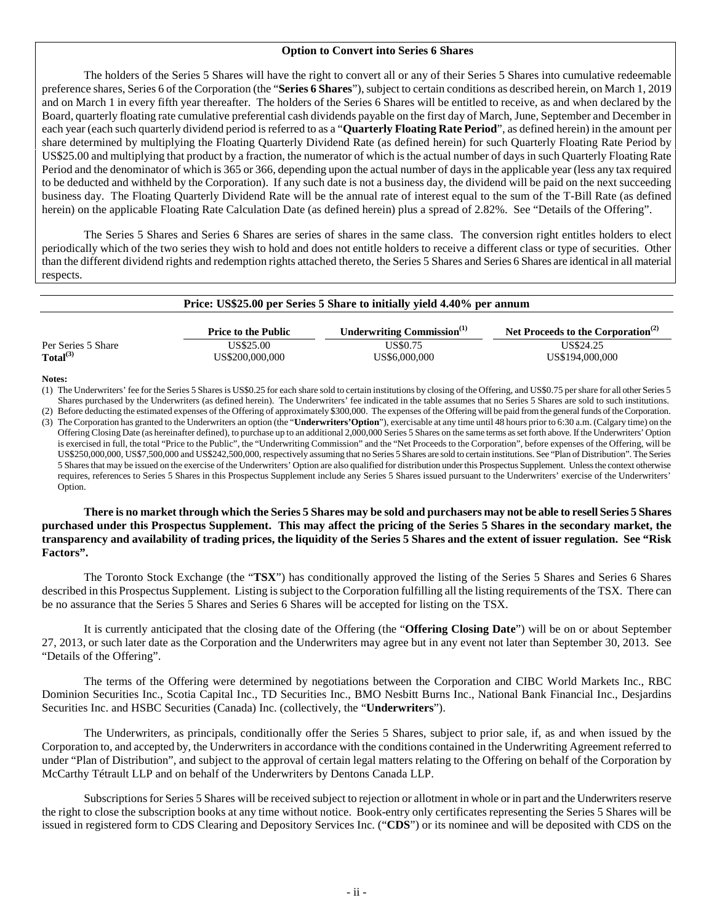### **Option to Convert into Series 6 Shares**

The holders of the Series 5 Shares will have the right to convert all or any of their Series 5 Shares into cumulative redeemable preference shares, Series 6 of the Corporation (the "**Series 6 Shares**"), subject to certain conditions as described herein, on March 1, 2019 and on March 1 in every fifth year thereafter. The holders of the Series 6 Shares will be entitled to receive, as and when declared by the Board, quarterly floating rate cumulative preferential cash dividends payable on the first day of March, June, September and December in each year (each such quarterly dividend period is referred to as a "**Quarterly Floating Rate Period**", as defined herein) in the amount per share determined by multiplying the Floating Quarterly Dividend Rate (as defined herein) for such Quarterly Floating Rate Period by US\$25.00 and multiplying that product by a fraction, the numerator of which is the actual number of days in such Quarterly Floating Rate Period and the denominator of which is 365 or 366, depending upon the actual number of days in the applicable year (less any tax required to be deducted and withheld by the Corporation). If any such date is not a business day, the dividend will be paid on the next succeeding business day. The Floating Quarterly Dividend Rate will be the annual rate of interest equal to the sum of the T-Bill Rate (as defined herein) on the applicable Floating Rate Calculation Date (as defined herein) plus a spread of 2.82%. See "Details of the Offering".

The Series 5 Shares and Series 6 Shares are series of shares in the same class. The conversion right entitles holders to elect periodically which of the two series they wish to hold and does not entitle holders to receive a different class or type of securities. Other than the different dividend rights and redemption rights attached thereto, the Series 5 Shares and Series 6 Shares are identical in all material respects.

| Price: US\$25.00 per Series 5 Share to initially yield 4.40% per annum |                              |                               |                                                |  |  |  |
|------------------------------------------------------------------------|------------------------------|-------------------------------|------------------------------------------------|--|--|--|
|                                                                        | <b>Price to the Public</b>   | Underwriting Commission $(1)$ | Net Proceeds to the Corporation <sup>(2)</sup> |  |  |  |
| Per Series 5 Share<br>Total <sup>(3)</sup>                             | US\$25.00<br>US\$200,000,000 | US\$0.75<br>US\$6,000,000     | US\$24.25<br>US\$194,000,000                   |  |  |  |

#### **Notes:**

(1) The Underwriters' fee for the Series 5 Shares is US\$0.25 for each share sold to certain institutions by closing of the Offering, and US\$0.75 per share for all other Series 5 Shares purchased by the Underwriters (as defined herein). The Underwriters' fee indicated in the table assumes that no Series 5 Shares are sold to such institutions.

(2) Before deducting the estimated expenses of the Offering of approximately \$300,000. The expenses of the Offering will be paid from the general funds of the Corporation. (3) The Corporation has granted to the Underwriters an option (the "**Underwriters'Option**"), exercisable at any time until 48 hours prior to 6:30 a.m. (Calgary time) on the Offering Closing Date (as hereinafter defined), to purchase up to an additional 2,000,000 Series 5 Shares on the same terms as set forth above. If the Underwriters' Option is exercised in full, the total "Price to the Public", the "Underwriting Commission" and the "Net Proceeds to the Corporation", before expenses of the Offering, will be US\$250,000,000, US\$7,500,000 and US\$242,500,000, respectively assuming that no Series 5 Shares are sold to certain institutions. See "Plan of Distribution". The Series 5 Shares that may be issued on the exercise of the Underwriters' Option are also qualified for distribution under this Prospectus Supplement. Unless the context otherwise requires, references to Series 5 Shares in this Prospectus Supplement include any Series 5 Shares issued pursuant to the Underwriters' exercise of the Underwriters' Option.

# **There is no market through which the Series 5 Shares may be sold and purchasers may not be able to resell Series 5 Shares purchased under this Prospectus Supplement. This may affect the pricing of the Series 5 Shares in the secondary market, the transparency and availability of trading prices, the liquidity of the Series 5 Shares and the extent of issuer regulation. See "Risk Factors".**

The Toronto Stock Exchange (the "**TSX**") has conditionally approved the listing of the Series 5 Shares and Series 6 Shares described in this Prospectus Supplement. Listing is subject to the Corporation fulfilling all the listing requirements of the TSX. There can be no assurance that the Series 5 Shares and Series 6 Shares will be accepted for listing on the TSX.

It is currently anticipated that the closing date of the Offering (the "**Offering Closing Date**") will be on or about September 27, 2013, or such later date as the Corporation and the Underwriters may agree but in any event not later than September 30, 2013. See "Details of the Offering".

The terms of the Offering were determined by negotiations between the Corporation and CIBC World Markets Inc., RBC Dominion Securities Inc., Scotia Capital Inc., TD Securities Inc., BMO Nesbitt Burns Inc., National Bank Financial Inc., Desjardins Securities Inc. and HSBC Securities (Canada) Inc. (collectively, the "**Underwriters**").

The Underwriters, as principals, conditionally offer the Series 5 Shares, subject to prior sale, if, as and when issued by the Corporation to, and accepted by, the Underwriters in accordance with the conditions contained in the Underwriting Agreement referred to under "Plan of Distribution", and subject to the approval of certain legal matters relating to the Offering on behalf of the Corporation by McCarthy Tétrault LLP and on behalf of the Underwriters by Dentons Canada LLP.

Subscriptions for Series 5 Shares will be received subject to rejection or allotment in whole or in part and the Underwriters reserve the right to close the subscription books at any time without notice. Book-entry only certificates representing the Series 5 Shares will be issued in registered form to CDS Clearing and Depository Services Inc. ("**CDS**") or its nominee and will be deposited with CDS on the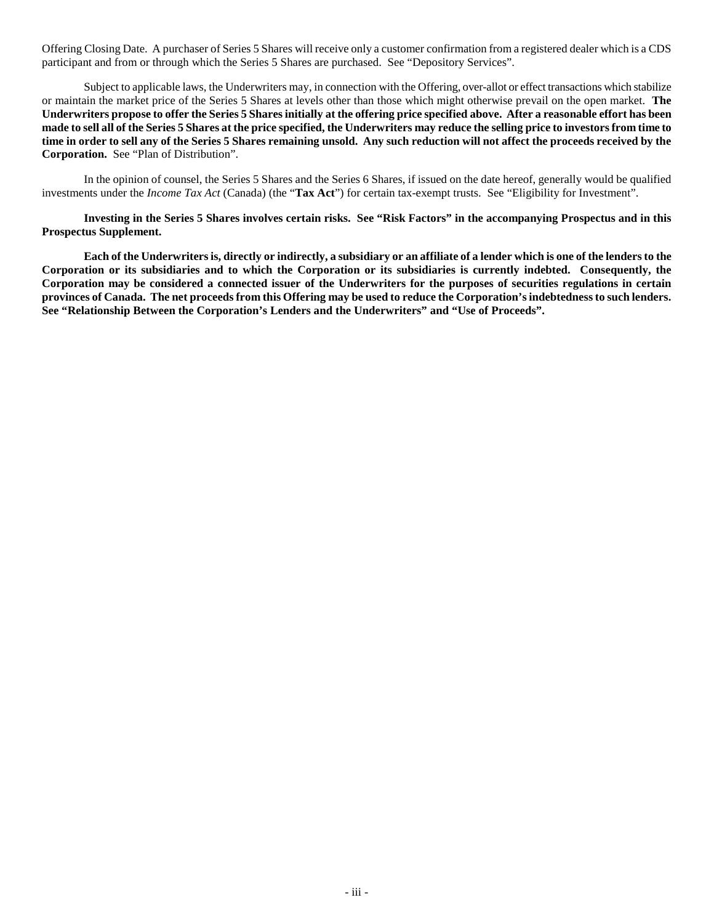Offering Closing Date. A purchaser of Series 5 Shares will receive only a customer confirmation from a registered dealer which is a CDS participant and from or through which the Series 5 Shares are purchased. See "Depository Services".

Subject to applicable laws, the Underwriters may, in connection with the Offering, over-allot or effect transactions which stabilize or maintain the market price of the Series 5 Shares at levels other than those which might otherwise prevail on the open market. **The Underwriters propose to offer the Series 5 Shares initially at the offering price specified above. After a reasonable effort has been made to sell all of the Series 5 Shares at the price specified, the Underwriters may reduce the selling price to investors from time to time in order to sell any of the Series 5 Shares remaining unsold. Any such reduction will not affect the proceeds received by the Corporation.** See "Plan of Distribution".

In the opinion of counsel, the Series 5 Shares and the Series 6 Shares, if issued on the date hereof, generally would be qualified investments under the *Income Tax Act* (Canada) (the "**Tax Act**") for certain tax-exempt trusts. See "Eligibility for Investment".

**Investing in the Series 5 Shares involves certain risks. See "Risk Factors" in the accompanying Prospectus and in this Prospectus Supplement.**

**Each of the Underwriters is, directly or indirectly, a subsidiary or an affiliate of a lender which is one of the lenders to the Corporation or its subsidiaries and to which the Corporation or its subsidiaries is currently indebted. Consequently, the Corporation may be considered a connected issuer of the Underwriters for the purposes of securities regulations in certain provinces of Canada. The net proceeds from this Offering may be used to reduce the Corporation's indebtedness to such lenders. See "Relationship Between the Corporation's Lenders and the Underwriters" and "Use of Proceeds".**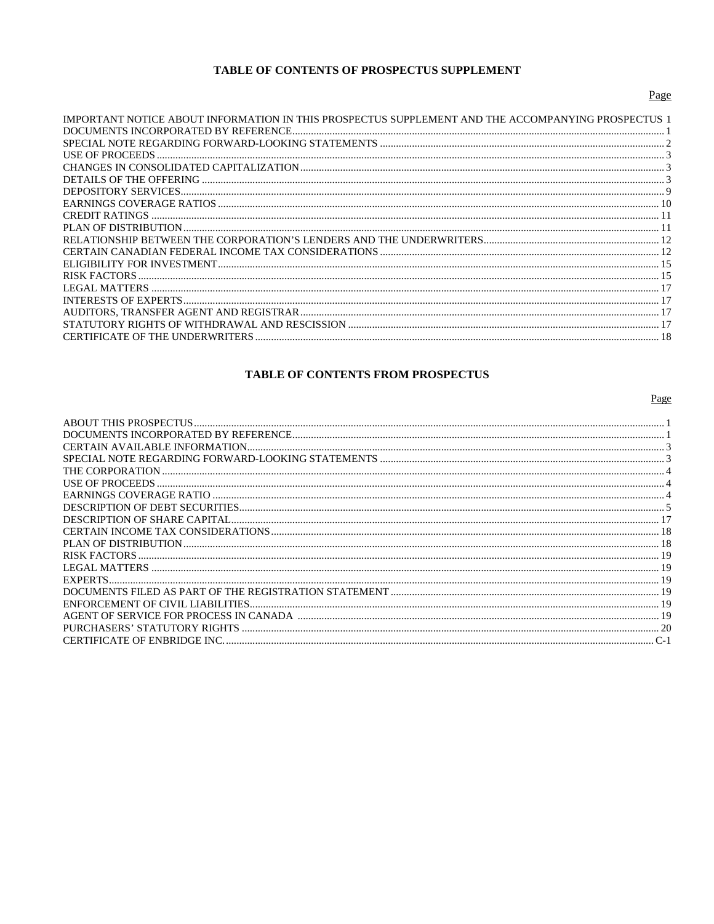# TABLE OF CONTENTS OF PROSPECTUS SUPPLEMENT

| IMPORTANT NOTICE ABOUT INFORMATION IN THIS PROSPECTUS SUPPLEMENT AND THE ACCOMPANYING PROSPECTUS |  |
|--------------------------------------------------------------------------------------------------|--|
|                                                                                                  |  |
|                                                                                                  |  |
| USE OF PROCEEDS.                                                                                 |  |
|                                                                                                  |  |
|                                                                                                  |  |
|                                                                                                  |  |
|                                                                                                  |  |
| <b>CREDIT RATINGS</b>                                                                            |  |
|                                                                                                  |  |
|                                                                                                  |  |
|                                                                                                  |  |
|                                                                                                  |  |
| RISK FACTORS                                                                                     |  |
|                                                                                                  |  |
|                                                                                                  |  |
|                                                                                                  |  |
| STATUTORY RIGHTS OF WITHDRAWAL AND RESCISSION ……………………………………………………………………………………………                |  |
| <b>CERTIFICATE OF THE UNDERWRITERS</b>                                                           |  |
|                                                                                                  |  |

# TABLE OF CONTENTS FROM PROSPECTUS

Page

| <b>EXPERTS</b>               |  |
|------------------------------|--|
|                              |  |
|                              |  |
|                              |  |
| PURCHASERS' STATUTORY RIGHTS |  |
|                              |  |

# Page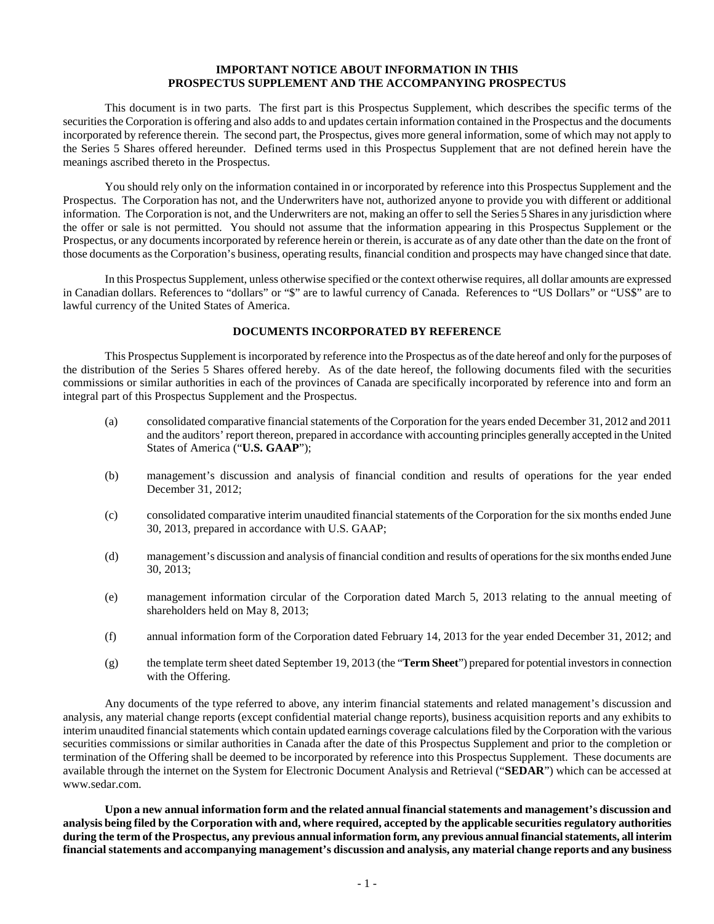# <span id="page-4-0"></span>**IMPORTANT NOTICE ABOUT INFORMATION IN THIS PROSPECTUS SUPPLEMENT AND THE ACCOMPANYING PROSPECTUS**

This document is in two parts. The first part is this Prospectus Supplement, which describes the specific terms of the securities the Corporation is offering and also adds to and updates certain information contained in the Prospectus and the documents incorporated by reference therein. The second part, the Prospectus, gives more general information, some of which may not apply to the Series 5 Shares offered hereunder. Defined terms used in this Prospectus Supplement that are not defined herein have the meanings ascribed thereto in the Prospectus.

You should rely only on the information contained in or incorporated by reference into this Prospectus Supplement and the Prospectus. The Corporation has not, and the Underwriters have not, authorized anyone to provide you with different or additional information. The Corporation is not, and the Underwriters are not, making an offer to sell the Series 5 Shares in any jurisdiction where the offer or sale is not permitted. You should not assume that the information appearing in this Prospectus Supplement or the Prospectus, or any documents incorporated by reference herein or therein, is accurate as of any date other than the date on the front of those documents as the Corporation's business, operating results, financial condition and prospects may have changed since that date.

In this Prospectus Supplement, unless otherwise specified or the context otherwise requires, all dollar amounts are expressed in Canadian dollars. References to "dollars" or "\$" are to lawful currency of Canada. References to "US Dollars" or "US\$" are to lawful currency of the United States of America.

### <span id="page-4-1"></span>**DOCUMENTS INCORPORATED BY REFERENCE**

This Prospectus Supplement is incorporated by reference into the Prospectus as of the date hereof and only for the purposes of the distribution of the Series 5 Shares offered hereby. As of the date hereof, the following documents filed with the securities commissions or similar authorities in each of the provinces of Canada are specifically incorporated by reference into and form an integral part of this Prospectus Supplement and the Prospectus.

- (a) consolidated comparative financial statements of the Corporation for the years ended December 31, 2012 and 2011 and the auditors' report thereon, prepared in accordance with accounting principles generally accepted in the United States of America ("**U.S. GAAP**");
- (b) management's discussion and analysis of financial condition and results of operations for the year ended December 31, 2012;
- (c) consolidated comparative interim unaudited financial statements of the Corporation for the six months ended June 30, 2013, prepared in accordance with U.S. GAAP;
- (d) management's discussion and analysis of financial condition and results of operations for the six months ended June 30, 2013;
- (e) management information circular of the Corporation dated March 5, 2013 relating to the annual meeting of shareholders held on May 8, 2013;
- (f) annual information form of the Corporation dated February 14, 2013 for the year ended December 31, 2012; and
- (g) the template term sheet dated September 19, 2013 (the "**Term Sheet**") prepared for potential investors in connection with the Offering.

Any documents of the type referred to above, any interim financial statements and related management's discussion and analysis, any material change reports (except confidential material change reports), business acquisition reports and any exhibits to interim unaudited financial statements which contain updated earnings coverage calculations filed by the Corporation with the various securities commissions or similar authorities in Canada after the date of this Prospectus Supplement and prior to the completion or termination of the Offering shall be deemed to be incorporated by reference into this Prospectus Supplement. These documents are available through the internet on the System for Electronic Document Analysis and Retrieval ("**SEDAR**") which can be accessed at www.sedar.com.

**Upon a new annual information form and the related annual financial statements and management's discussion and analysis being filed by the Corporation with and, where required, accepted by the applicable securities regulatory authorities during the term of the Prospectus, any previous annual information form, any previous annual financial statements, all interim financial statements and accompanying management's discussion and analysis, any material change reports and any business**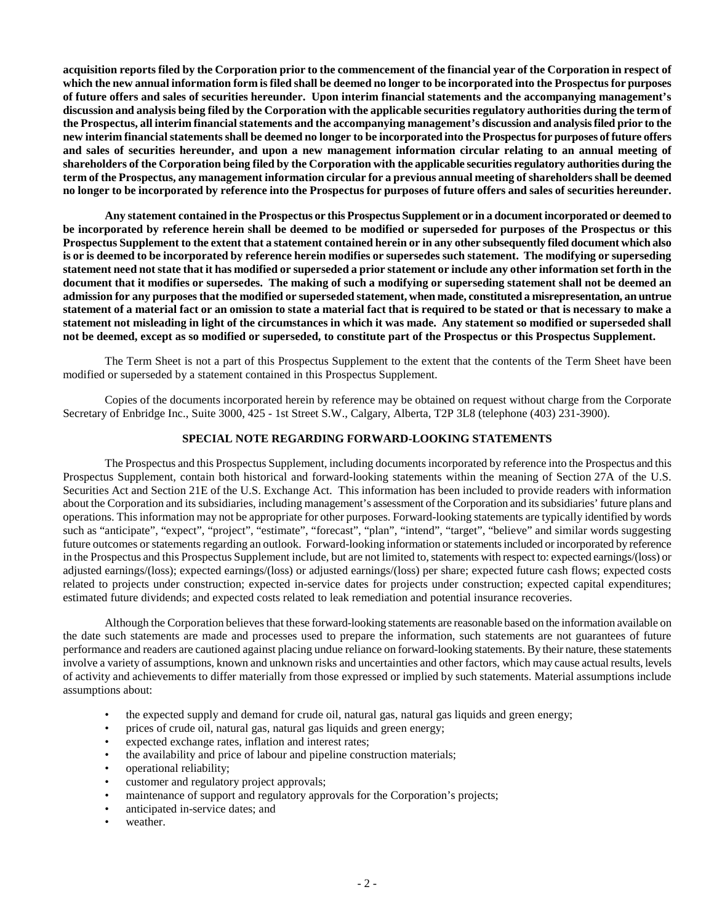**acquisition reports filed by the Corporation prior to the commencement of the financial year of the Corporation in respect of which the new annual information form is filed shall be deemed no longer to be incorporated into the Prospectus for purposes of future offers and sales of securities hereunder. Upon interim financial statements and the accompanying management's discussion and analysis being filed by the Corporation with the applicable securities regulatory authorities during the term of the Prospectus, all interim financial statements and the accompanying management's discussion and analysis filed prior to the new interim financial statements shall be deemed no longer to be incorporated into the Prospectus for purposes of future offers and sales of securities hereunder, and upon a new management information circular relating to an annual meeting of shareholders of the Corporation being filed by the Corporation with the applicable securities regulatory authorities during the term of the Prospectus, any management information circular for a previous annual meeting of shareholders shall be deemed no longer to be incorporated by reference into the Prospectus for purposes of future offers and sales of securities hereunder.**

**Any statement contained in the Prospectus or this Prospectus Supplement or in a document incorporated or deemed to be incorporated by reference herein shall be deemed to be modified or superseded for purposes of the Prospectus or this Prospectus Supplement to the extent that a statement contained herein or in any other subsequently filed document which also is or is deemed to be incorporated by reference herein modifies or supersedes such statement. The modifying or superseding statement need not state that it has modified or superseded a prior statement or include any other information set forth in the document that it modifies or supersedes. The making of such a modifying or superseding statement shall not be deemed an admission for any purposes that the modified or superseded statement, when made, constituted a misrepresentation, an untrue statement of a material fact or an omission to state a material fact that is required to be stated or that is necessary to make a statement not misleading in light of the circumstances in which it was made. Any statement so modified or superseded shall not be deemed, except as so modified or superseded, to constitute part of the Prospectus or this Prospectus Supplement.**

The Term Sheet is not a part of this Prospectus Supplement to the extent that the contents of the Term Sheet have been modified or superseded by a statement contained in this Prospectus Supplement.

Copies of the documents incorporated herein by reference may be obtained on request without charge from the Corporate Secretary of Enbridge Inc., Suite 3000, 425 - 1st Street S.W., Calgary, Alberta, T2P 3L8 (telephone (403) 231-3900).

### <span id="page-5-0"></span>**SPECIAL NOTE REGARDING FORWARD-LOOKING STATEMENTS**

The Prospectus and this Prospectus Supplement, including documents incorporated by reference into the Prospectus and this Prospectus Supplement, contain both historical and forward-looking statements within the meaning of Section 27A of the U.S. Securities Act and Section 21E of the U.S. Exchange Act. This information has been included to provide readers with information about the Corporation and its subsidiaries, including management's assessment of the Corporation and its subsidiaries' future plans and operations. This information may not be appropriate for other purposes. Forward-looking statements are typically identified by words such as "anticipate", "expect", "project", "estimate", "forecast", "plan", "intend", "target", "believe" and similar words suggesting future outcomes or statements regarding an outlook. Forward-looking information or statements included or incorporated by reference in the Prospectus and this Prospectus Supplement include, but are not limited to, statements with respect to: expected earnings/(loss) or adjusted earnings/(loss); expected earnings/(loss) or adjusted earnings/(loss) per share; expected future cash flows; expected costs related to projects under construction; expected in-service dates for projects under construction; expected capital expenditures; estimated future dividends; and expected costs related to leak remediation and potential insurance recoveries.

Although the Corporation believes that these forward-looking statements are reasonable based on the information available on the date such statements are made and processes used to prepare the information, such statements are not guarantees of future performance and readers are cautioned against placing undue reliance on forward-looking statements. By their nature, these statements involve a variety of assumptions, known and unknown risks and uncertainties and other factors, which may cause actual results, levels of activity and achievements to differ materially from those expressed or implied by such statements. Material assumptions include assumptions about:

- the expected supply and demand for crude oil, natural gas, natural gas liquids and green energy;
- prices of crude oil, natural gas, natural gas liquids and green energy;
- expected exchange rates, inflation and interest rates;
- the availability and price of labour and pipeline construction materials;
- operational reliability;
- customer and regulatory project approvals;
- maintenance of support and regulatory approvals for the Corporation's projects;
- anticipated in-service dates; and
- weather.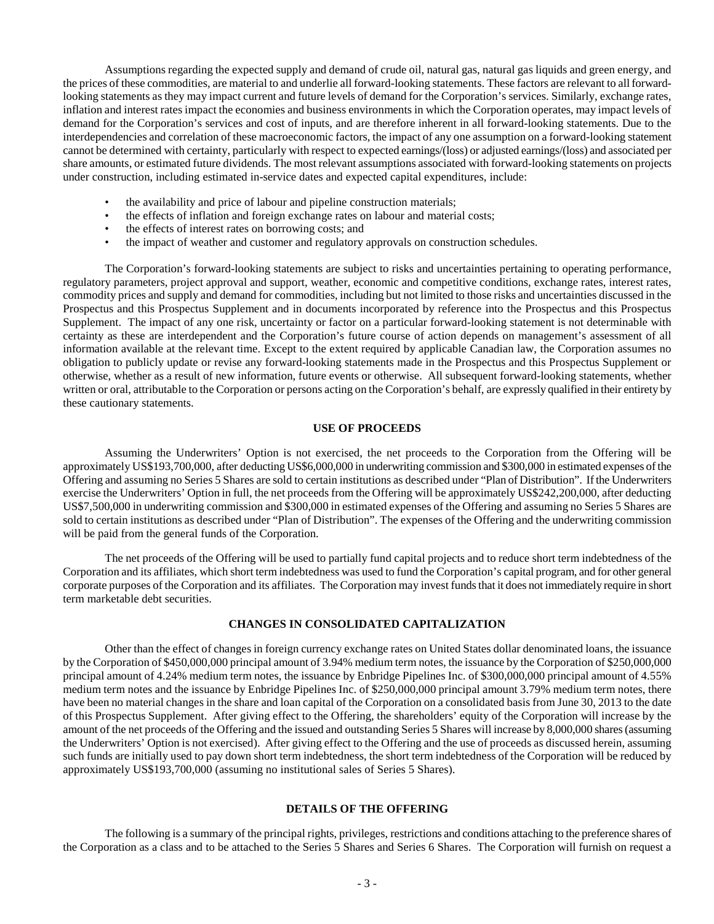Assumptions regarding the expected supply and demand of crude oil, natural gas, natural gas liquids and green energy, and the prices of these commodities, are material to and underlie all forward-looking statements. These factors are relevant to all forwardlooking statements as they may impact current and future levels of demand for the Corporation's services. Similarly, exchange rates, inflation and interest rates impact the economies and business environments in which the Corporation operates, may impact levels of demand for the Corporation's services and cost of inputs, and are therefore inherent in all forward-looking statements. Due to the interdependencies and correlation of these macroeconomic factors, the impact of any one assumption on a forward-looking statement cannot be determined with certainty, particularly with respect to expected earnings/(loss) or adjusted earnings/(loss) and associated per share amounts, or estimated future dividends. The most relevant assumptions associated with forward-looking statements on projects under construction, including estimated in-service dates and expected capital expenditures, include:

- the availability and price of labour and pipeline construction materials;
- the effects of inflation and foreign exchange rates on labour and material costs;
- the effects of interest rates on borrowing costs; and
- the impact of weather and customer and regulatory approvals on construction schedules.

The Corporation's forward-looking statements are subject to risks and uncertainties pertaining to operating performance, regulatory parameters, project approval and support, weather, economic and competitive conditions, exchange rates, interest rates, commodity prices and supply and demand for commodities, including but not limited to those risks and uncertainties discussed in the Prospectus and this Prospectus Supplement and in documents incorporated by reference into the Prospectus and this Prospectus Supplement. The impact of any one risk, uncertainty or factor on a particular forward-looking statement is not determinable with certainty as these are interdependent and the Corporation's future course of action depends on management's assessment of all information available at the relevant time. Except to the extent required by applicable Canadian law, the Corporation assumes no obligation to publicly update or revise any forward-looking statements made in the Prospectus and this Prospectus Supplement or otherwise, whether as a result of new information, future events or otherwise. All subsequent forward-looking statements, whether written or oral, attributable to the Corporation or persons acting on the Corporation's behalf, are expressly qualified in their entirety by these cautionary statements.

#### <span id="page-6-0"></span>**USE OF PROCEEDS**

Assuming the Underwriters' Option is not exercised, the net proceeds to the Corporation from the Offering will be approximately US\$193,700,000, after deducting US\$6,000,000 in underwriting commission and \$300,000 in estimated expenses of the Offering and assuming no Series 5 Shares are sold to certain institutions as described under "Plan of Distribution". If the Underwriters exercise the Underwriters' Option in full, the net proceeds from the Offering will be approximately US\$242,200,000, after deducting US\$7,500,000 in underwriting commission and \$300,000 in estimated expenses of the Offering and assuming no Series 5 Shares are sold to certain institutions as described under "Plan of Distribution". The expenses of the Offering and the underwriting commission will be paid from the general funds of the Corporation.

The net proceeds of the Offering will be used to partially fund capital projects and to reduce short term indebtedness of the Corporation and its affiliates, which short term indebtedness was used to fund the Corporation's capital program, and for other general corporate purposes of the Corporation and its affiliates. The Corporation may invest funds that it does not immediately require in short term marketable debt securities.

# <span id="page-6-1"></span>**CHANGES IN CONSOLIDATED CAPITALIZATION**

Other than the effect of changes in foreign currency exchange rates on United States dollar denominated loans, the issuance by the Corporation of \$450,000,000 principal amount of 3.94% medium term notes, the issuance by the Corporation of \$250,000,000 principal amount of 4.24% medium term notes, the issuance by Enbridge Pipelines Inc. of \$300,000,000 principal amount of 4.55% medium term notes and the issuance by Enbridge Pipelines Inc. of \$250,000,000 principal amount 3.79% medium term notes, there have been no material changes in the share and loan capital of the Corporation on a consolidated basis from June 30, 2013 to the date of this Prospectus Supplement. After giving effect to the Offering, the shareholders' equity of the Corporation will increase by the amount of the net proceeds of the Offering and the issued and outstanding Series 5 Shares will increase by 8,000,000 shares (assuming the Underwriters' Option is not exercised). After giving effect to the Offering and the use of proceeds as discussed herein, assuming such funds are initially used to pay down short term indebtedness, the short term indebtedness of the Corporation will be reduced by approximately US\$193,700,000 (assuming no institutional sales of Series 5 Shares).

# <span id="page-6-2"></span>**DETAILS OF THE OFFERING**

The following is a summary of the principal rights, privileges, restrictions and conditions attaching to the preference shares of the Corporation as a class and to be attached to the Series 5 Shares and Series 6 Shares. The Corporation will furnish on request a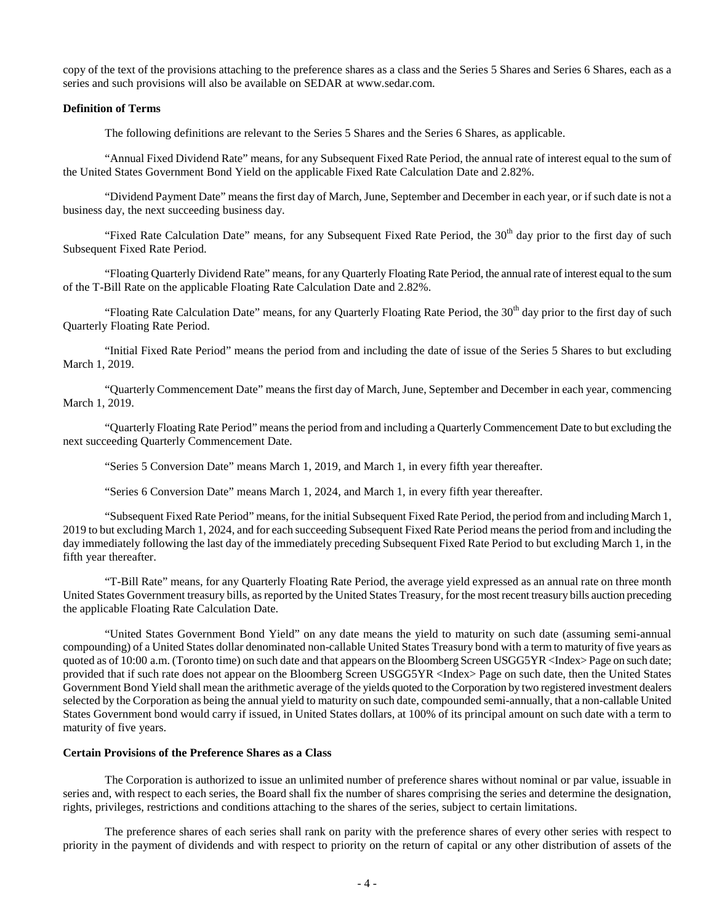copy of the text of the provisions attaching to the preference shares as a class and the Series 5 Shares and Series 6 Shares, each as a series and such provisions will also be available on SEDAR at www.sedar.com.

# **Definition of Terms**

The following definitions are relevant to the Series 5 Shares and the Series 6 Shares, as applicable.

"Annual Fixed Dividend Rate" means, for any Subsequent Fixed Rate Period, the annual rate of interest equal to the sum of the United States Government Bond Yield on the applicable Fixed Rate Calculation Date and 2.82%.

"Dividend Payment Date" means the first day of March, June, September and December in each year, or if such date is not a business day, the next succeeding business day.

"Fixed Rate Calculation Date" means, for any Subsequent Fixed Rate Period, the 30<sup>th</sup> day prior to the first day of such Subsequent Fixed Rate Period.

"Floating Quarterly Dividend Rate" means, for any Quarterly Floating Rate Period, the annual rate of interest equal to the sum of the T-Bill Rate on the applicable Floating Rate Calculation Date and 2.82%.

"Floating Rate Calculation Date" means, for any Quarterly Floating Rate Period, the 30<sup>th</sup> day prior to the first day of such Quarterly Floating Rate Period.

"Initial Fixed Rate Period" means the period from and including the date of issue of the Series 5 Shares to but excluding March 1, 2019.

"Quarterly Commencement Date" means the first day of March, June, September and December in each year, commencing March 1, 2019.

"Quarterly Floating Rate Period" means the period from and including a Quarterly Commencement Date to but excluding the next succeeding Quarterly Commencement Date.

"Series 5 Conversion Date" means March 1, 2019, and March 1, in every fifth year thereafter.

"Series 6 Conversion Date" means March 1, 2024, and March 1, in every fifth year thereafter.

"Subsequent Fixed Rate Period" means, for the initial Subsequent Fixed Rate Period, the period from and including March 1, 2019 to but excluding March 1, 2024, and for each succeeding Subsequent Fixed Rate Period means the period from and including the day immediately following the last day of the immediately preceding Subsequent Fixed Rate Period to but excluding March 1, in the fifth year thereafter.

"T-Bill Rate" means, for any Quarterly Floating Rate Period, the average yield expressed as an annual rate on three month United States Government treasury bills, as reported by the United States Treasury, for the most recent treasury bills auction preceding the applicable Floating Rate Calculation Date.

"United States Government Bond Yield" on any date means the yield to maturity on such date (assuming semi-annual compounding) of a United States dollar denominated non-callable United States Treasury bond with a term to maturity of five years as quoted as of 10:00 a.m. (Toronto time) on such date and that appears on the Bloomberg Screen USGG5YR <Index> Page on such date; provided that if such rate does not appear on the Bloomberg Screen USGG5YR <Index> Page on such date, then the United States Government Bond Yield shall mean the arithmetic average of the yields quoted to the Corporation by two registered investment dealers selected by the Corporation as being the annual yield to maturity on such date, compounded semi-annually, that a non-callable United States Government bond would carry if issued, in United States dollars, at 100% of its principal amount on such date with a term to maturity of five years.

# **Certain Provisions of the Preference Shares as a Class**

The Corporation is authorized to issue an unlimited number of preference shares without nominal or par value, issuable in series and, with respect to each series, the Board shall fix the number of shares comprising the series and determine the designation, rights, privileges, restrictions and conditions attaching to the shares of the series, subject to certain limitations.

The preference shares of each series shall rank on parity with the preference shares of every other series with respect to priority in the payment of dividends and with respect to priority on the return of capital or any other distribution of assets of the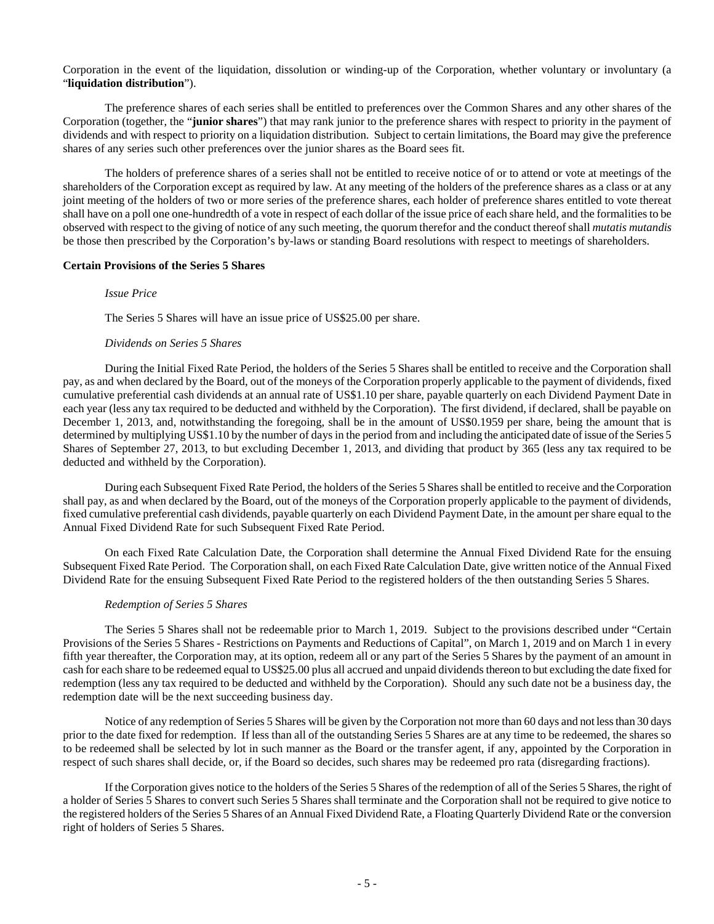Corporation in the event of the liquidation, dissolution or winding-up of the Corporation, whether voluntary or involuntary (a "**liquidation distribution**").

The preference shares of each series shall be entitled to preferences over the Common Shares and any other shares of the Corporation (together, the "**junior shares**") that may rank junior to the preference shares with respect to priority in the payment of dividends and with respect to priority on a liquidation distribution. Subject to certain limitations, the Board may give the preference shares of any series such other preferences over the junior shares as the Board sees fit.

The holders of preference shares of a series shall not be entitled to receive notice of or to attend or vote at meetings of the shareholders of the Corporation except as required by law. At any meeting of the holders of the preference shares as a class or at any joint meeting of the holders of two or more series of the preference shares, each holder of preference shares entitled to vote thereat shall have on a poll one one-hundredth of a vote in respect of each dollar of the issue price of each share held, and the formalities to be observed with respect to the giving of notice of any such meeting, the quorum therefor and the conduct thereof shall *mutatis mutandis* be those then prescribed by the Corporation's by-laws or standing Board resolutions with respect to meetings of shareholders.

#### **Certain Provisions of the Series 5 Shares**

#### *Issue Price*

The Series 5 Shares will have an issue price of US\$25.00 per share.

### *Dividends on Series 5 Shares*

During the Initial Fixed Rate Period, the holders of the Series 5 Shares shall be entitled to receive and the Corporation shall pay, as and when declared by the Board, out of the moneys of the Corporation properly applicable to the payment of dividends, fixed cumulative preferential cash dividends at an annual rate of US\$1.10 per share, payable quarterly on each Dividend Payment Date in each year (less any tax required to be deducted and withheld by the Corporation). The first dividend, if declared, shall be payable on December 1, 2013, and, notwithstanding the foregoing, shall be in the amount of US\$0.1959 per share, being the amount that is determined by multiplying US\$1.10 by the number of days in the period from and including the anticipated date of issue of the Series 5 Shares of September 27, 2013, to but excluding December 1, 2013, and dividing that product by 365 (less any tax required to be deducted and withheld by the Corporation).

During each Subsequent Fixed Rate Period, the holders of the Series 5 Shares shall be entitled to receive and the Corporation shall pay, as and when declared by the Board, out of the moneys of the Corporation properly applicable to the payment of dividends, fixed cumulative preferential cash dividends, payable quarterly on each Dividend Payment Date, in the amount per share equal to the Annual Fixed Dividend Rate for such Subsequent Fixed Rate Period.

On each Fixed Rate Calculation Date, the Corporation shall determine the Annual Fixed Dividend Rate for the ensuing Subsequent Fixed Rate Period. The Corporation shall, on each Fixed Rate Calculation Date, give written notice of the Annual Fixed Dividend Rate for the ensuing Subsequent Fixed Rate Period to the registered holders of the then outstanding Series 5 Shares.

#### *Redemption of Series 5 Shares*

The Series 5 Shares shall not be redeemable prior to March 1, 2019. Subject to the provisions described under "Certain Provisions of the Series 5 Shares - Restrictions on Payments and Reductions of Capital", on March 1, 2019 and on March 1 in every fifth year thereafter, the Corporation may, at its option, redeem all or any part of the Series 5 Shares by the payment of an amount in cash for each share to be redeemed equal to US\$25.00 plus all accrued and unpaid dividends thereon to but excluding the date fixed for redemption (less any tax required to be deducted and withheld by the Corporation). Should any such date not be a business day, the redemption date will be the next succeeding business day.

Notice of any redemption of Series 5 Shares will be given by the Corporation not more than 60 days and not less than 30 days prior to the date fixed for redemption. If less than all of the outstanding Series 5 Shares are at any time to be redeemed, the shares so to be redeemed shall be selected by lot in such manner as the Board or the transfer agent, if any, appointed by the Corporation in respect of such shares shall decide, or, if the Board so decides, such shares may be redeemed pro rata (disregarding fractions).

If the Corporation gives notice to the holders of the Series 5 Shares of the redemption of all of the Series 5 Shares, the right of a holder of Series 5 Shares to convert such Series 5 Shares shall terminate and the Corporation shall not be required to give notice to the registered holders of the Series 5 Shares of an Annual Fixed Dividend Rate, a Floating Quarterly Dividend Rate or the conversion right of holders of Series 5 Shares.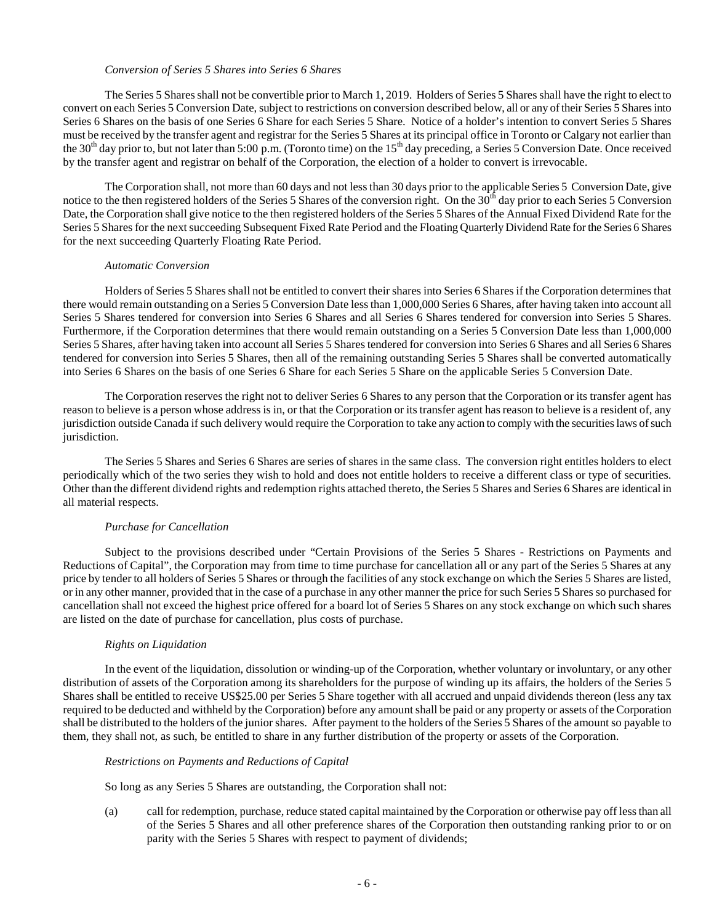#### *Conversion of Series 5 Shares into Series 6 Shares*

The Series 5 Shares shall not be convertible prior to March 1, 2019. Holders of Series 5 Shares shall have the right to elect to convert on each Series 5 Conversion Date, subject to restrictions on conversion described below, all or any of their Series 5 Shares into Series 6 Shares on the basis of one Series 6 Share for each Series 5 Share. Notice of a holder's intention to convert Series 5 Shares must be received by the transfer agent and registrar for the Series 5 Shares at its principal office in Toronto or Calgary not earlier than the 30<sup>th</sup> day prior to, but not later than 5:00 p.m. (Toronto time) on the 15<sup>th</sup> day preceding, a Series 5 Conversion Date. Once received by the transfer agent and registrar on behalf of the Corporation, the election of a holder to convert is irrevocable.

The Corporation shall, not more than 60 days and not less than 30 days prior to the applicable Series 5 Conversion Date, give notice to the then registered holders of the Series 5 Shares of the conversion right. On the  $30<sup>th</sup>$  day prior to each Series 5 Conversion Date, the Corporation shall give notice to the then registered holders of the Series 5 Shares of the Annual Fixed Dividend Rate for the Series 5 Shares for the next succeeding Subsequent Fixed Rate Period and the Floating Quarterly Dividend Rate for the Series 6 Shares for the next succeeding Quarterly Floating Rate Period.

### *Automatic Conversion*

Holders of Series 5 Shares shall not be entitled to convert their shares into Series 6 Shares if the Corporation determines that there would remain outstanding on a Series 5 Conversion Date less than 1,000,000 Series 6 Shares, after having taken into account all Series 5 Shares tendered for conversion into Series 6 Shares and all Series 6 Shares tendered for conversion into Series 5 Shares. Furthermore, if the Corporation determines that there would remain outstanding on a Series 5 Conversion Date less than 1,000,000 Series 5 Shares, after having taken into account all Series 5 Shares tendered for conversion into Series 6 Shares and all Series 6 Shares tendered for conversion into Series 5 Shares, then all of the remaining outstanding Series 5 Shares shall be converted automatically into Series 6 Shares on the basis of one Series 6 Share for each Series 5 Share on the applicable Series 5 Conversion Date.

The Corporation reserves the right not to deliver Series 6 Shares to any person that the Corporation or its transfer agent has reason to believe is a person whose address is in, or that the Corporation or its transfer agent has reason to believe is a resident of, any jurisdiction outside Canada if such delivery would require the Corporation to take any action to comply with the securities laws of such jurisdiction.

The Series 5 Shares and Series 6 Shares are series of shares in the same class. The conversion right entitles holders to elect periodically which of the two series they wish to hold and does not entitle holders to receive a different class or type of securities. Other than the different dividend rights and redemption rights attached thereto, the Series 5 Shares and Series 6 Shares are identical in all material respects.

### *Purchase for Cancellation*

Subject to the provisions described under "Certain Provisions of the Series 5 Shares - Restrictions on Payments and Reductions of Capital", the Corporation may from time to time purchase for cancellation all or any part of the Series 5 Shares at any price by tender to all holders of Series 5 Shares or through the facilities of any stock exchange on which the Series 5 Shares are listed, or in any other manner, provided that in the case of a purchase in any other manner the price for such Series 5 Shares so purchased for cancellation shall not exceed the highest price offered for a board lot of Series 5 Shares on any stock exchange on which such shares are listed on the date of purchase for cancellation, plus costs of purchase.

### *Rights on Liquidation*

In the event of the liquidation, dissolution or winding-up of the Corporation, whether voluntary or involuntary, or any other distribution of assets of the Corporation among its shareholders for the purpose of winding up its affairs, the holders of the Series 5 Shares shall be entitled to receive US\$25.00 per Series 5 Share together with all accrued and unpaid dividends thereon (less any tax required to be deducted and withheld by the Corporation) before any amount shall be paid or any property or assets of the Corporation shall be distributed to the holders of the junior shares. After payment to the holders of the Series 5 Shares of the amount so payable to them, they shall not, as such, be entitled to share in any further distribution of the property or assets of the Corporation.

### *Restrictions on Payments and Reductions of Capital*

So long as any Series 5 Shares are outstanding, the Corporation shall not:

(a) call for redemption, purchase, reduce stated capital maintained by the Corporation or otherwise pay off less than all of the Series 5 Shares and all other preference shares of the Corporation then outstanding ranking prior to or on parity with the Series 5 Shares with respect to payment of dividends;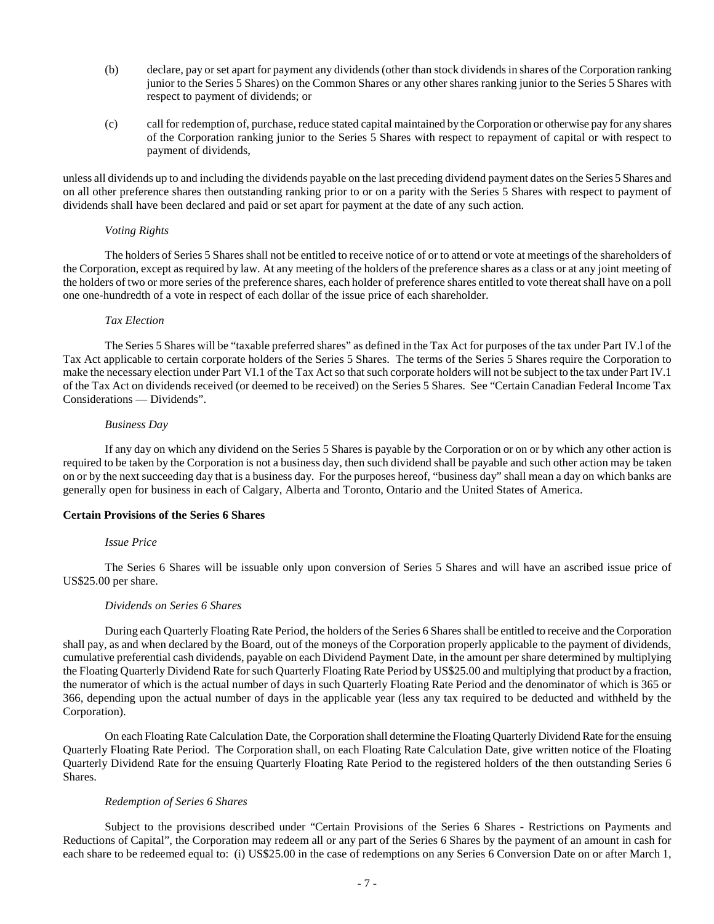- (b) declare, pay or set apart for payment any dividends (other than stock dividends in shares of the Corporation ranking junior to the Series 5 Shares) on the Common Shares or any other shares ranking junior to the Series 5 Shares with respect to payment of dividends; or
- (c) call for redemption of, purchase, reduce stated capital maintained by the Corporation or otherwise pay for any shares of the Corporation ranking junior to the Series 5 Shares with respect to repayment of capital or with respect to payment of dividends,

unless all dividends up to and including the dividends payable on the last preceding dividend payment dates on the Series 5 Shares and on all other preference shares then outstanding ranking prior to or on a parity with the Series 5 Shares with respect to payment of dividends shall have been declared and paid or set apart for payment at the date of any such action.

#### *Voting Rights*

The holders of Series 5 Shares shall not be entitled to receive notice of or to attend or vote at meetings of the shareholders of the Corporation, except as required by law. At any meeting of the holders of the preference shares as a class or at any joint meeting of the holders of two or more series of the preference shares, each holder of preference shares entitled to vote thereat shall have on a poll one one-hundredth of a vote in respect of each dollar of the issue price of each shareholder.

### *Tax Election*

The Series 5 Shares will be "taxable preferred shares" as defined in the Tax Act for purposes of the tax under Part IV.l of the Tax Act applicable to certain corporate holders of the Series 5 Shares. The terms of the Series 5 Shares require the Corporation to make the necessary election under Part VI.1 of the Tax Act so that such corporate holders will not be subject to the tax under Part IV.1 of the Tax Act on dividends received (or deemed to be received) on the Series 5 Shares. See "Certain Canadian Federal Income Tax Considerations — Dividends".

#### *Business Day*

If any day on which any dividend on the Series 5 Shares is payable by the Corporation or on or by which any other action is required to be taken by the Corporation is not a business day, then such dividend shall be payable and such other action may be taken on or by the next succeeding day that is a business day. For the purposes hereof, "business day" shall mean a day on which banks are generally open for business in each of Calgary, Alberta and Toronto, Ontario and the United States of America.

### **Certain Provisions of the Series 6 Shares**

### *Issue Price*

The Series 6 Shares will be issuable only upon conversion of Series 5 Shares and will have an ascribed issue price of US\$25.00 per share.

### *Dividends on Series 6 Shares*

During each Quarterly Floating Rate Period, the holders of the Series 6 Shares shall be entitled to receive and the Corporation shall pay, as and when declared by the Board, out of the moneys of the Corporation properly applicable to the payment of dividends, cumulative preferential cash dividends, payable on each Dividend Payment Date, in the amount per share determined by multiplying the Floating Quarterly Dividend Rate for such Quarterly Floating Rate Period by US\$25.00 and multiplying that product by a fraction, the numerator of which is the actual number of days in such Quarterly Floating Rate Period and the denominator of which is 365 or 366, depending upon the actual number of days in the applicable year (less any tax required to be deducted and withheld by the Corporation).

On each Floating Rate Calculation Date, the Corporation shall determine the Floating Quarterly Dividend Rate for the ensuing Quarterly Floating Rate Period. The Corporation shall, on each Floating Rate Calculation Date, give written notice of the Floating Quarterly Dividend Rate for the ensuing Quarterly Floating Rate Period to the registered holders of the then outstanding Series 6 Shares.

### *Redemption of Series 6 Shares*

Subject to the provisions described under "Certain Provisions of the Series 6 Shares - Restrictions on Payments and Reductions of Capital", the Corporation may redeem all or any part of the Series 6 Shares by the payment of an amount in cash for each share to be redeemed equal to: (i) US\$25.00 in the case of redemptions on any Series 6 Conversion Date on or after March 1,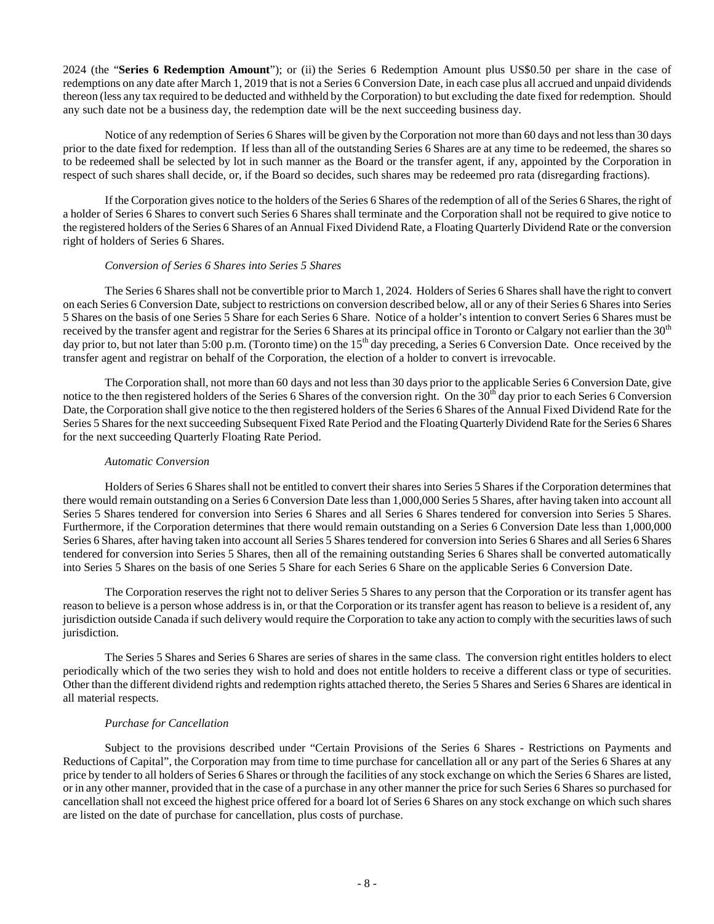2024 (the "**Series 6 Redemption Amount**"); or (ii) the Series 6 Redemption Amount plus US\$0.50 per share in the case of redemptions on any date after March 1, 2019 that is not a Series 6 Conversion Date, in each case plus all accrued and unpaid dividends thereon (less any tax required to be deducted and withheld by the Corporation) to but excluding the date fixed for redemption. Should any such date not be a business day, the redemption date will be the next succeeding business day.

Notice of any redemption of Series 6 Shares will be given by the Corporation not more than 60 days and not less than 30 days prior to the date fixed for redemption. If less than all of the outstanding Series 6 Shares are at any time to be redeemed, the shares so to be redeemed shall be selected by lot in such manner as the Board or the transfer agent, if any, appointed by the Corporation in respect of such shares shall decide, or, if the Board so decides, such shares may be redeemed pro rata (disregarding fractions).

If the Corporation gives notice to the holders of the Series 6 Shares of the redemption of all of the Series 6 Shares, the right of a holder of Series 6 Shares to convert such Series 6 Shares shall terminate and the Corporation shall not be required to give notice to the registered holders of the Series 6 Shares of an Annual Fixed Dividend Rate, a Floating Quarterly Dividend Rate or the conversion right of holders of Series 6 Shares.

### *Conversion of Series 6 Shares into Series 5 Shares*

The Series 6 Shares shall not be convertible prior to March 1, 2024. Holders of Series 6 Shares shall have the right to convert on each Series 6 Conversion Date, subject to restrictions on conversion described below, all or any of their Series 6 Shares into Series 5 Shares on the basis of one Series 5 Share for each Series 6 Share. Notice of a holder's intention to convert Series 6 Shares must be received by the transfer agent and registrar for the Series 6 Shares at its principal office in Toronto or Calgary not earlier than the 30<sup>th</sup> day prior to, but not later than 5:00 p.m. (Toronto time) on the 15<sup>th</sup> day preceding, a Series 6 Conversion Date. Once received by the transfer agent and registrar on behalf of the Corporation, the election of a holder to convert is irrevocable.

The Corporation shall, not more than 60 days and not less than 30 days prior to the applicable Series 6 Conversion Date, give notice to the then registered holders of the Series 6 Shares of the conversion right. On the  $30<sup>th</sup>$  day prior to each Series 6 Conversion Date, the Corporation shall give notice to the then registered holders of the Series 6 Shares of the Annual Fixed Dividend Rate for the Series 5 Shares for the next succeeding Subsequent Fixed Rate Period and the Floating Quarterly Dividend Rate for the Series 6 Shares for the next succeeding Quarterly Floating Rate Period.

# *Automatic Conversion*

Holders of Series 6 Shares shall not be entitled to convert their shares into Series 5 Shares if the Corporation determines that there would remain outstanding on a Series 6 Conversion Date less than 1,000,000 Series 5 Shares, after having taken into account all Series 5 Shares tendered for conversion into Series 6 Shares and all Series 6 Shares tendered for conversion into Series 5 Shares. Furthermore, if the Corporation determines that there would remain outstanding on a Series 6 Conversion Date less than 1,000,000 Series 6 Shares, after having taken into account all Series 5 Shares tendered for conversion into Series 6 Shares and all Series 6 Shares tendered for conversion into Series 5 Shares, then all of the remaining outstanding Series 6 Shares shall be converted automatically into Series 5 Shares on the basis of one Series 5 Share for each Series 6 Share on the applicable Series 6 Conversion Date.

The Corporation reserves the right not to deliver Series 5 Shares to any person that the Corporation or its transfer agent has reason to believe is a person whose address is in, or that the Corporation or its transfer agent has reason to believe is a resident of, any jurisdiction outside Canada if such delivery would require the Corporation to take any action to comply with the securities laws of such jurisdiction.

The Series 5 Shares and Series 6 Shares are series of shares in the same class. The conversion right entitles holders to elect periodically which of the two series they wish to hold and does not entitle holders to receive a different class or type of securities. Other than the different dividend rights and redemption rights attached thereto, the Series 5 Shares and Series 6 Shares are identical in all material respects.

### *Purchase for Cancellation*

Subject to the provisions described under "Certain Provisions of the Series 6 Shares - Restrictions on Payments and Reductions of Capital", the Corporation may from time to time purchase for cancellation all or any part of the Series 6 Shares at any price by tender to all holders of Series 6 Shares or through the facilities of any stock exchange on which the Series 6 Shares are listed, or in any other manner, provided that in the case of a purchase in any other manner the price for such Series 6 Shares so purchased for cancellation shall not exceed the highest price offered for a board lot of Series 6 Shares on any stock exchange on which such shares are listed on the date of purchase for cancellation, plus costs of purchase.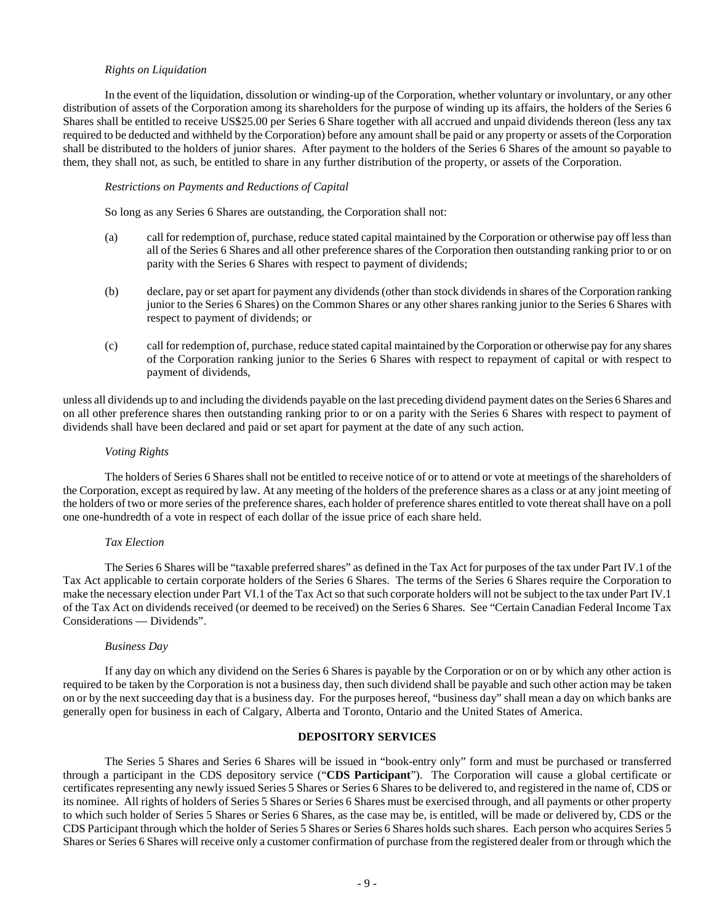#### *Rights on Liquidation*

In the event of the liquidation, dissolution or winding-up of the Corporation, whether voluntary or involuntary, or any other distribution of assets of the Corporation among its shareholders for the purpose of winding up its affairs, the holders of the Series 6 Shares shall be entitled to receive US\$25.00 per Series 6 Share together with all accrued and unpaid dividends thereon (less any tax required to be deducted and withheld by the Corporation) before any amount shall be paid or any property or assets of the Corporation shall be distributed to the holders of junior shares. After payment to the holders of the Series 6 Shares of the amount so payable to them, they shall not, as such, be entitled to share in any further distribution of the property, or assets of the Corporation.

#### *Restrictions on Payments and Reductions of Capital*

So long as any Series 6 Shares are outstanding, the Corporation shall not:

- (a) call for redemption of, purchase, reduce stated capital maintained by the Corporation or otherwise pay off less than all of the Series 6 Shares and all other preference shares of the Corporation then outstanding ranking prior to or on parity with the Series 6 Shares with respect to payment of dividends;
- (b) declare, pay or set apart for payment any dividends (other than stock dividends in shares of the Corporation ranking junior to the Series 6 Shares) on the Common Shares or any other shares ranking junior to the Series 6 Shares with respect to payment of dividends; or
- (c) call for redemption of, purchase, reduce stated capital maintained by the Corporation or otherwise pay for any shares of the Corporation ranking junior to the Series 6 Shares with respect to repayment of capital or with respect to payment of dividends,

unless all dividends up to and including the dividends payable on the last preceding dividend payment dates on the Series 6 Shares and on all other preference shares then outstanding ranking prior to or on a parity with the Series 6 Shares with respect to payment of dividends shall have been declared and paid or set apart for payment at the date of any such action.

#### *Voting Rights*

The holders of Series 6 Shares shall not be entitled to receive notice of or to attend or vote at meetings of the shareholders of the Corporation, except as required by law. At any meeting of the holders of the preference shares as a class or at any joint meeting of the holders of two or more series of the preference shares, each holder of preference shares entitled to vote thereat shall have on a poll one one-hundredth of a vote in respect of each dollar of the issue price of each share held.

#### *Tax Election*

The Series 6 Shares will be "taxable preferred shares" as defined in the Tax Act for purposes of the tax under Part IV.1 of the Tax Act applicable to certain corporate holders of the Series 6 Shares. The terms of the Series 6 Shares require the Corporation to make the necessary election under Part VI.1 of the Tax Act so that such corporate holders will not be subject to the tax under Part IV.1 of the Tax Act on dividends received (or deemed to be received) on the Series 6 Shares. See "Certain Canadian Federal Income Tax Considerations — Dividends".

### *Business Day*

If any day on which any dividend on the Series 6 Shares is payable by the Corporation or on or by which any other action is required to be taken by the Corporation is not a business day, then such dividend shall be payable and such other action may be taken on or by the next succeeding day that is a business day. For the purposes hereof, "business day" shall mean a day on which banks are generally open for business in each of Calgary, Alberta and Toronto, Ontario and the United States of America.

#### <span id="page-12-0"></span>**DEPOSITORY SERVICES**

The Series 5 Shares and Series 6 Shares will be issued in "book-entry only" form and must be purchased or transferred through a participant in the CDS depository service ("**CDS Participant**"). The Corporation will cause a global certificate or certificates representing any newly issued Series 5 Shares or Series 6 Shares to be delivered to, and registered in the name of, CDS or its nominee. All rights of holders of Series 5 Shares or Series 6 Shares must be exercised through, and all payments or other property to which such holder of Series 5 Shares or Series 6 Shares, as the case may be, is entitled, will be made or delivered by, CDS or the CDS Participant through which the holder of Series 5 Shares or Series 6 Shares holds such shares. Each person who acquires Series 5 Shares or Series 6 Shares will receive only a customer confirmation of purchase from the registered dealer from or through which the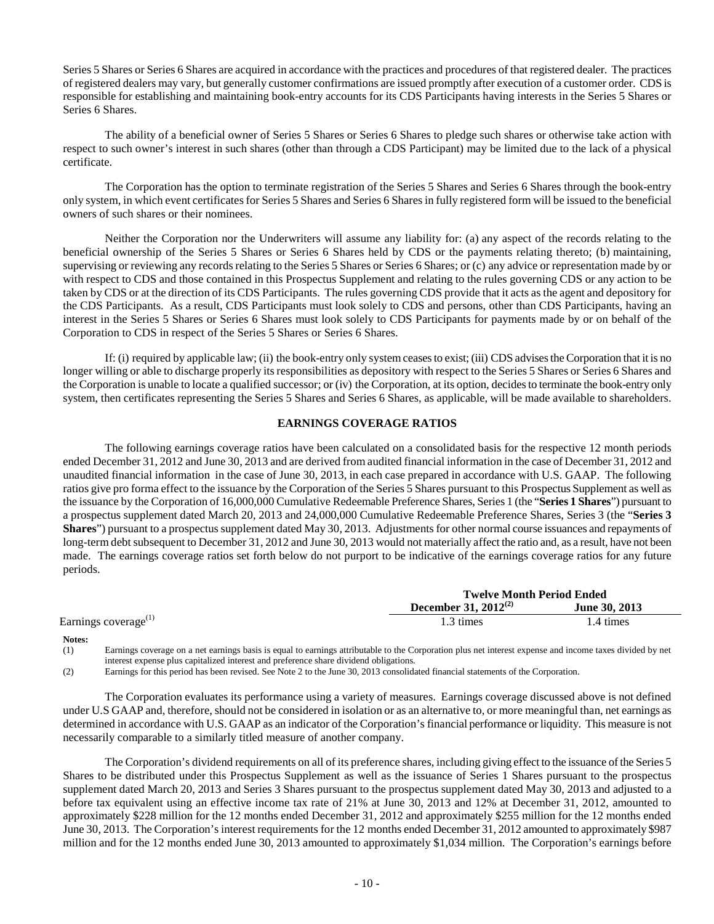Series 5 Shares or Series 6 Shares are acquired in accordance with the practices and procedures of that registered dealer. The practices of registered dealers may vary, but generally customer confirmations are issued promptly after execution of a customer order. CDS is responsible for establishing and maintaining book-entry accounts for its CDS Participants having interests in the Series 5 Shares or Series 6 Shares.

The ability of a beneficial owner of Series 5 Shares or Series 6 Shares to pledge such shares or otherwise take action with respect to such owner's interest in such shares (other than through a CDS Participant) may be limited due to the lack of a physical certificate.

The Corporation has the option to terminate registration of the Series 5 Shares and Series 6 Shares through the book-entry only system, in which event certificates for Series 5 Shares and Series 6 Shares in fully registered form will be issued to the beneficial owners of such shares or their nominees.

Neither the Corporation nor the Underwriters will assume any liability for: (a) any aspect of the records relating to the beneficial ownership of the Series 5 Shares or Series 6 Shares held by CDS or the payments relating thereto; (b) maintaining, supervising or reviewing any records relating to the Series 5 Shares or Series 6 Shares; or (c) any advice or representation made by or with respect to CDS and those contained in this Prospectus Supplement and relating to the rules governing CDS or any action to be taken by CDS or at the direction of its CDS Participants. The rules governing CDS provide that it acts as the agent and depository for the CDS Participants. As a result, CDS Participants must look solely to CDS and persons, other than CDS Participants, having an interest in the Series 5 Shares or Series 6 Shares must look solely to CDS Participants for payments made by or on behalf of the Corporation to CDS in respect of the Series 5 Shares or Series 6 Shares.

If: (i) required by applicable law; (ii) the book-entry only system ceases to exist; (iii) CDS advises the Corporation that it is no longer willing or able to discharge properly its responsibilities as depository with respect to the Series 5 Shares or Series 6 Shares and the Corporation is unable to locate a qualified successor; or (iv) the Corporation, at its option, decides to terminate the book-entry only system, then certificates representing the Series 5 Shares and Series 6 Shares, as applicable, will be made available to shareholders.

# <span id="page-13-0"></span>**EARNINGS COVERAGE RATIOS**

The following earnings coverage ratios have been calculated on a consolidated basis for the respective 12 month periods ended December 31, 2012 and June 30, 2013 and are derived from audited financial information in the case of December 31, 2012 and unaudited financial information in the case of June 30, 2013, in each case prepared in accordance with U.S. GAAP. The following ratios give pro forma effect to the issuance by the Corporation of the Series 5 Shares pursuant to this Prospectus Supplement as well as the issuance by the Corporation of 16,000,000 Cumulative Redeemable Preference Shares, Series 1 (the "**Series 1 Shares**") pursuant to a prospectus supplement dated March 20, 2013 and 24,000,000 Cumulative Redeemable Preference Shares, Series 3 (the "**Series 3 Shares**") pursuant to a prospectus supplement dated May 30, 2013. Adjustments for other normal course issuances and repayments of long-term debt subsequent to December 31, 2012 and June 30, 2013 would not materially affect the ratio and, as a result, have not been made. The earnings coverage ratios set forth below do not purport to be indicative of the earnings coverage ratios for any future periods.

|                                  | <b>Twelve Month Period Ended</b> |               |  |
|----------------------------------|----------------------------------|---------------|--|
|                                  | December 31, $2012^{(2)}$        | June 30, 2013 |  |
| Earnings coverage <sup>(1)</sup> | 1.3 times                        | 1.4 times     |  |

#### **Notes:**

(1) Earnings coverage on a net earnings basis is equal to earnings attributable to the Corporation plus net interest expense and income taxes divided by net interest expense plus capitalized interest and preference share dividend obligations.

(2) Earnings for this period has been revised. See Note 2 to the June 30, 2013 consolidated financial statements of the Corporation.

The Corporation evaluates its performance using a variety of measures. Earnings coverage discussed above is not defined under U.S GAAP and, therefore, should not be considered in isolation or as an alternative to, or more meaningful than, net earnings as determined in accordance with U.S. GAAP as an indicator of the Corporation's financial performance or liquidity. This measure is not necessarily comparable to a similarly titled measure of another company.

The Corporation's dividend requirements on all of its preference shares, including giving effect to the issuance of the Series 5 Shares to be distributed under this Prospectus Supplement as well as the issuance of Series 1 Shares pursuant to the prospectus supplement dated March 20, 2013 and Series 3 Shares pursuant to the prospectus supplement dated May 30, 2013 and adjusted to a before tax equivalent using an effective income tax rate of 21% at June 30, 2013 and 12% at December 31, 2012, amounted to approximately \$228 million for the 12 months ended December 31, 2012 and approximately \$255 million for the 12 months ended June 30, 2013. The Corporation's interest requirements for the 12 months ended December 31, 2012 amounted to approximately \$987 million and for the 12 months ended June 30, 2013 amounted to approximately \$1,034 million. The Corporation's earnings before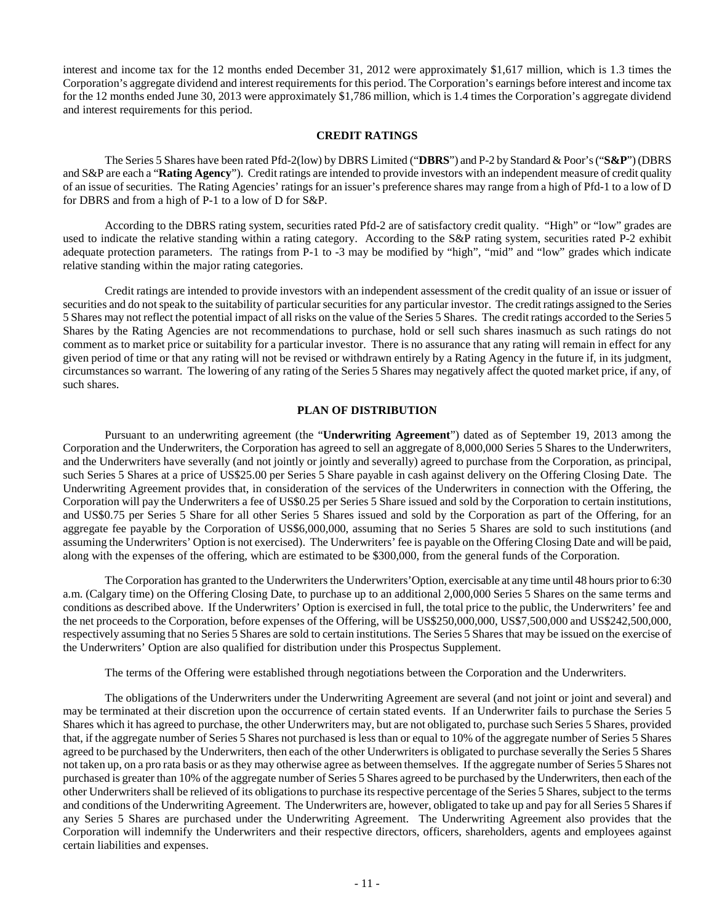interest and income tax for the 12 months ended December 31, 2012 were approximately \$1,617 million, which is 1.3 times the Corporation's aggregate dividend and interest requirements for this period. The Corporation's earnings before interest and income tax for the 12 months ended June 30, 2013 were approximately \$1,786 million, which is 1.4 times the Corporation's aggregate dividend and interest requirements for this period.

### <span id="page-14-0"></span>**CREDIT RATINGS**

The Series 5 Shares have been rated Pfd-2(low) by DBRS Limited ("**DBRS**") and P-2 by Standard & Poor's ("**S&P**") (DBRS and S&P are each a "**Rating Agency**"). Credit ratings are intended to provide investors with an independent measure of credit quality of an issue of securities. The Rating Agencies' ratings for an issuer's preference shares may range from a high of Pfd-1 to a low of D for DBRS and from a high of P-1 to a low of D for S&P.

According to the DBRS rating system, securities rated Pfd-2 are of satisfactory credit quality. "High" or "low" grades are used to indicate the relative standing within a rating category. According to the S&P rating system, securities rated P-2 exhibit adequate protection parameters. The ratings from P-1 to -3 may be modified by "high", "mid" and "low" grades which indicate relative standing within the major rating categories.

Credit ratings are intended to provide investors with an independent assessment of the credit quality of an issue or issuer of securities and do not speak to the suitability of particular securities for any particular investor. The credit ratings assigned to the Series 5 Shares may not reflect the potential impact of all risks on the value of the Series 5 Shares. The credit ratings accorded to the Series 5 Shares by the Rating Agencies are not recommendations to purchase, hold or sell such shares inasmuch as such ratings do not comment as to market price or suitability for a particular investor. There is no assurance that any rating will remain in effect for any given period of time or that any rating will not be revised or withdrawn entirely by a Rating Agency in the future if, in its judgment, circumstances so warrant. The lowering of any rating of the Series 5 Shares may negatively affect the quoted market price, if any, of such shares.

# <span id="page-14-1"></span>**PLAN OF DISTRIBUTION**

Pursuant to an underwriting agreement (the "**Underwriting Agreement**") dated as of September 19, 2013 among the Corporation and the Underwriters, the Corporation has agreed to sell an aggregate of 8,000,000 Series 5 Shares to the Underwriters, and the Underwriters have severally (and not jointly or jointly and severally) agreed to purchase from the Corporation, as principal, such Series 5 Shares at a price of US\$25.00 per Series 5 Share payable in cash against delivery on the Offering Closing Date. The Underwriting Agreement provides that, in consideration of the services of the Underwriters in connection with the Offering, the Corporation will pay the Underwriters a fee of US\$0.25 per Series 5 Share issued and sold by the Corporation to certain institutions, and US\$0.75 per Series 5 Share for all other Series 5 Shares issued and sold by the Corporation as part of the Offering, for an aggregate fee payable by the Corporation of US\$6,000,000, assuming that no Series 5 Shares are sold to such institutions (and assuming the Underwriters' Option is not exercised). The Underwriters' fee is payable on the Offering Closing Date and will be paid, along with the expenses of the offering, which are estimated to be \$300,000, from the general funds of the Corporation.

The Corporation has granted to the Underwriters the Underwriters'Option, exercisable at any time until 48 hours prior to 6:30 a.m. (Calgary time) on the Offering Closing Date, to purchase up to an additional 2,000,000 Series 5 Shares on the same terms and conditions as described above. If the Underwriters' Option is exercised in full, the total price to the public, the Underwriters' fee and the net proceeds to the Corporation, before expenses of the Offering, will be US\$250,000,000, US\$7,500,000 and US\$242,500,000, respectively assuming that no Series 5 Shares are sold to certain institutions. The Series 5 Shares that may be issued on the exercise of the Underwriters' Option are also qualified for distribution under this Prospectus Supplement.

The terms of the Offering were established through negotiations between the Corporation and the Underwriters.

The obligations of the Underwriters under the Underwriting Agreement are several (and not joint or joint and several) and may be terminated at their discretion upon the occurrence of certain stated events. If an Underwriter fails to purchase the Series 5 Shares which it has agreed to purchase, the other Underwriters may, but are not obligated to, purchase such Series 5 Shares, provided that, if the aggregate number of Series 5 Shares not purchased is less than or equal to 10% of the aggregate number of Series 5 Shares agreed to be purchased by the Underwriters, then each of the other Underwriters is obligated to purchase severally the Series 5 Shares not taken up, on a pro rata basis or as they may otherwise agree as between themselves. If the aggregate number of Series 5 Shares not purchased is greater than 10% of the aggregate number of Series 5 Shares agreed to be purchased by the Underwriters, then each of the other Underwriters shall be relieved of its obligations to purchase its respective percentage of the Series 5 Shares, subject to the terms and conditions of the Underwriting Agreement. The Underwriters are, however, obligated to take up and pay for all Series 5 Shares if any Series 5 Shares are purchased under the Underwriting Agreement. The Underwriting Agreement also provides that the Corporation will indemnify the Underwriters and their respective directors, officers, shareholders, agents and employees against certain liabilities and expenses.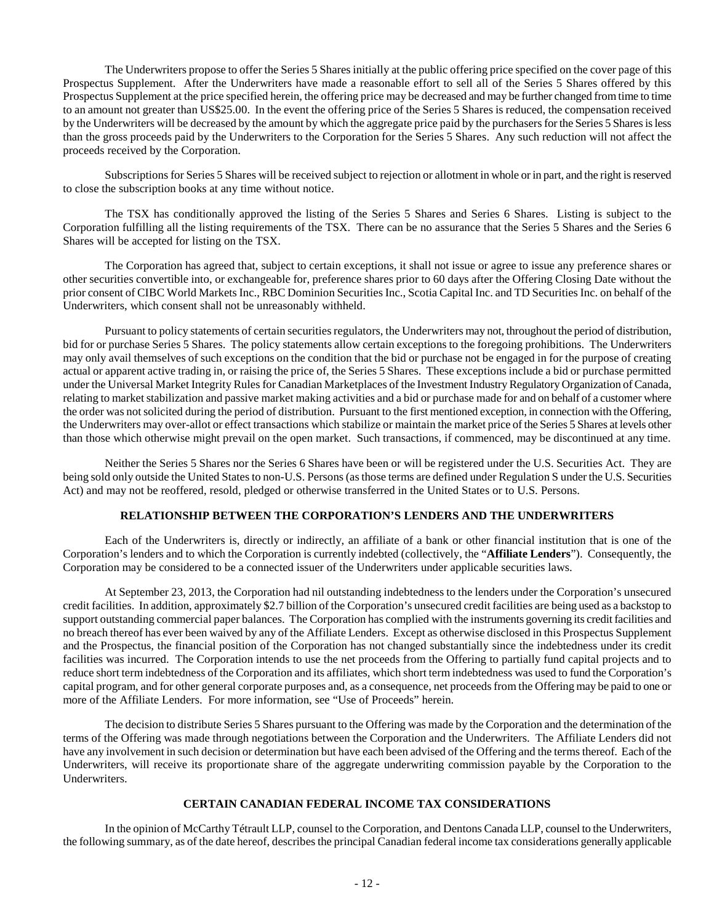The Underwriters propose to offer the Series 5 Shares initially at the public offering price specified on the cover page of this Prospectus Supplement. After the Underwriters have made a reasonable effort to sell all of the Series 5 Shares offered by this Prospectus Supplement at the price specified herein, the offering price may be decreased and may be further changed from time to time to an amount not greater than US\$25.00. In the event the offering price of the Series 5 Shares is reduced, the compensation received by the Underwriters will be decreased by the amount by which the aggregate price paid by the purchasers for the Series 5 Shares is less than the gross proceeds paid by the Underwriters to the Corporation for the Series 5 Shares. Any such reduction will not affect the proceeds received by the Corporation.

Subscriptions for Series 5 Shares will be received subject to rejection or allotment in whole or in part, and the right is reserved to close the subscription books at any time without notice.

The TSX has conditionally approved the listing of the Series 5 Shares and Series 6 Shares. Listing is subject to the Corporation fulfilling all the listing requirements of the TSX. There can be no assurance that the Series 5 Shares and the Series 6 Shares will be accepted for listing on the TSX.

The Corporation has agreed that, subject to certain exceptions, it shall not issue or agree to issue any preference shares or other securities convertible into, or exchangeable for, preference shares prior to 60 days after the Offering Closing Date without the prior consent of CIBC World Markets Inc., RBC Dominion Securities Inc., Scotia Capital Inc. and TD Securities Inc. on behalf of the Underwriters, which consent shall not be unreasonably withheld.

Pursuant to policy statements of certain securities regulators, the Underwriters may not, throughout the period of distribution, bid for or purchase Series 5 Shares. The policy statements allow certain exceptions to the foregoing prohibitions. The Underwriters may only avail themselves of such exceptions on the condition that the bid or purchase not be engaged in for the purpose of creating actual or apparent active trading in, or raising the price of, the Series 5 Shares. These exceptions include a bid or purchase permitted under the Universal Market Integrity Rules for Canadian Marketplaces of the Investment Industry Regulatory Organization of Canada, relating to market stabilization and passive market making activities and a bid or purchase made for and on behalf of a customer where the order was not solicited during the period of distribution. Pursuant to the first mentioned exception, in connection with the Offering, the Underwriters may over-allot or effect transactions which stabilize or maintain the market price of the Series 5 Shares at levels other than those which otherwise might prevail on the open market. Such transactions, if commenced, may be discontinued at any time.

Neither the Series 5 Shares nor the Series 6 Shares have been or will be registered under the U.S. Securities Act. They are being sold only outside the United States to non-U.S. Persons (as those terms are defined under Regulation S under the U.S. Securities Act) and may not be reoffered, resold, pledged or otherwise transferred in the United States or to U.S. Persons.

# <span id="page-15-0"></span>**RELATIONSHIP BETWEEN THE CORPORATION'S LENDERS AND THE UNDERWRITERS**

Each of the Underwriters is, directly or indirectly, an affiliate of a bank or other financial institution that is one of the Corporation's lenders and to which the Corporation is currently indebted (collectively, the "**Affiliate Lenders**"). Consequently, the Corporation may be considered to be a connected issuer of the Underwriters under applicable securities laws.

At September 23, 2013, the Corporation had nil outstanding indebtedness to the lenders under the Corporation's unsecured credit facilities. In addition, approximately \$2.7 billion of the Corporation's unsecured credit facilities are being used as a backstop to support outstanding commercial paper balances. The Corporation has complied with the instruments governing its credit facilities and no breach thereof has ever been waived by any of the Affiliate Lenders. Except as otherwise disclosed in this Prospectus Supplement and the Prospectus, the financial position of the Corporation has not changed substantially since the indebtedness under its credit facilities was incurred. The Corporation intends to use the net proceeds from the Offering to partially fund capital projects and to reduce short term indebtedness of the Corporation and its affiliates, which short term indebtedness was used to fund the Corporation's capital program, and for other general corporate purposes and, as a consequence, net proceeds from the Offering may be paid to one or more of the Affiliate Lenders. For more information, see "Use of Proceeds" herein.

The decision to distribute Series 5 Shares pursuant to the Offering was made by the Corporation and the determination of the terms of the Offering was made through negotiations between the Corporation and the Underwriters. The Affiliate Lenders did not have any involvement in such decision or determination but have each been advised of the Offering and the terms thereof. Each of the Underwriters, will receive its proportionate share of the aggregate underwriting commission payable by the Corporation to the Underwriters.

### <span id="page-15-1"></span>**CERTAIN CANADIAN FEDERAL INCOME TAX CONSIDERATIONS**

In the opinion of McCarthy Tétrault LLP, counsel to the Corporation, and Dentons Canada LLP, counsel to the Underwriters, the following summary, as of the date hereof, describes the principal Canadian federal income tax considerations generally applicable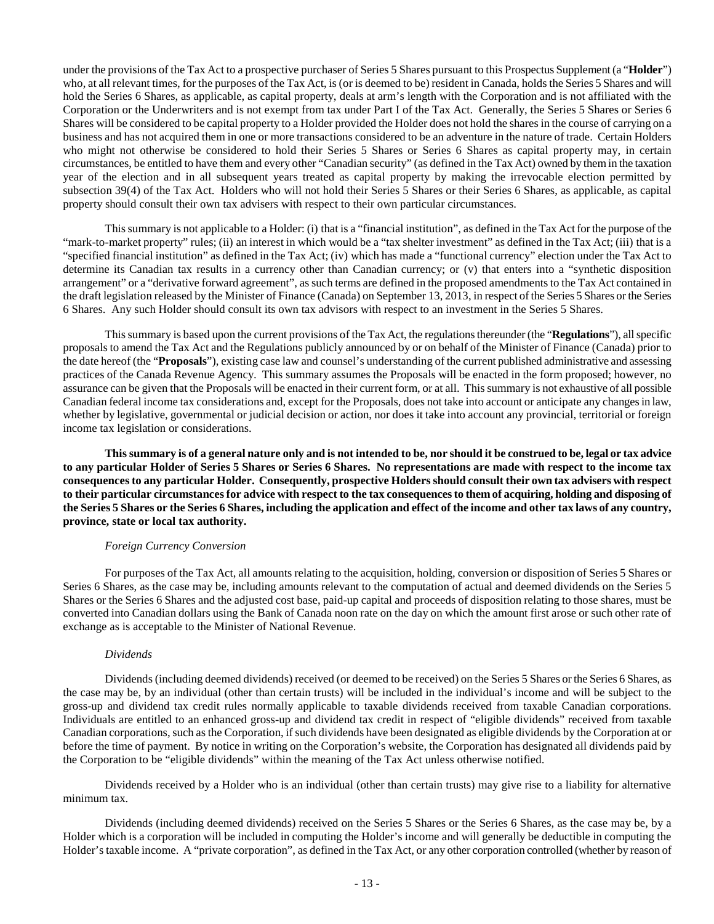under the provisions of the Tax Act to a prospective purchaser of Series 5 Shares pursuant to this Prospectus Supplement (a "**Holder**") who, at all relevant times, for the purposes of the Tax Act, is (or is deemed to be) resident in Canada, holds the Series 5 Shares and will hold the Series 6 Shares, as applicable, as capital property, deals at arm's length with the Corporation and is not affiliated with the Corporation or the Underwriters and is not exempt from tax under Part I of the Tax Act. Generally, the Series 5 Shares or Series 6 Shares will be considered to be capital property to a Holder provided the Holder does not hold the shares in the course of carrying on a business and has not acquired them in one or more transactions considered to be an adventure in the nature of trade. Certain Holders who might not otherwise be considered to hold their Series 5 Shares or Series 6 Shares as capital property may, in certain circumstances, be entitled to have them and every other "Canadian security" (as defined in the Tax Act) owned by them in the taxation year of the election and in all subsequent years treated as capital property by making the irrevocable election permitted by subsection 39(4) of the Tax Act. Holders who will not hold their Series 5 Shares or their Series 6 Shares, as applicable, as capital property should consult their own tax advisers with respect to their own particular circumstances.

This summary is not applicable to a Holder: (i) that is a "financial institution", as defined in the Tax Act for the purpose of the "mark-to-market property" rules; (ii) an interest in which would be a "tax shelter investment" as defined in the Tax Act; (iii) that is a "specified financial institution" as defined in the Tax Act; (iv) which has made a "functional currency" election under the Tax Act to determine its Canadian tax results in a currency other than Canadian currency; or (v) that enters into a "synthetic disposition arrangement" or a "derivative forward agreement", as such terms are defined in the proposed amendments to the Tax Act contained in the draft legislation released by the Minister of Finance (Canada) on September 13, 2013, in respect of the Series 5 Shares or the Series 6 Shares. Any such Holder should consult its own tax advisors with respect to an investment in the Series 5 Shares.

This summary is based upon the current provisions of the Tax Act, the regulations thereunder (the "**Regulations**"), all specific proposals to amend the Tax Act and the Regulations publicly announced by or on behalf of the Minister of Finance (Canada) prior to the date hereof (the "**Proposals**"), existing case law and counsel's understanding of the current published administrative and assessing practices of the Canada Revenue Agency. This summary assumes the Proposals will be enacted in the form proposed; however, no assurance can be given that the Proposals will be enacted in their current form, or at all. This summary is not exhaustive of all possible Canadian federal income tax considerations and, except for the Proposals, does not take into account or anticipate any changes in law, whether by legislative, governmental or judicial decision or action, nor does it take into account any provincial, territorial or foreign income tax legislation or considerations.

**This summary is of a general nature only and is not intended to be, nor should it be construed to be, legal or tax advice to any particular Holder of Series 5 Shares or Series 6 Shares. No representations are made with respect to the income tax consequences to any particular Holder. Consequently, prospective Holders should consult their own tax advisers with respect to their particular circumstances for advice with respect to the tax consequences to them of acquiring, holding and disposing of the Series 5 Shares or the Series 6 Shares, including the application and effect of the income and other tax laws of any country, province, state or local tax authority.**

### *Foreign Currency Conversion*

For purposes of the Tax Act, all amounts relating to the acquisition, holding, conversion or disposition of Series 5 Shares or Series 6 Shares, as the case may be, including amounts relevant to the computation of actual and deemed dividends on the Series 5 Shares or the Series 6 Shares and the adjusted cost base, paid-up capital and proceeds of disposition relating to those shares, must be converted into Canadian dollars using the Bank of Canada noon rate on the day on which the amount first arose or such other rate of exchange as is acceptable to the Minister of National Revenue.

# *Dividends*

Dividends (including deemed dividends) received (or deemed to be received) on the Series 5 Shares or the Series 6 Shares, as the case may be, by an individual (other than certain trusts) will be included in the individual's income and will be subject to the gross-up and dividend tax credit rules normally applicable to taxable dividends received from taxable Canadian corporations. Individuals are entitled to an enhanced gross-up and dividend tax credit in respect of "eligible dividends" received from taxable Canadian corporations, such as the Corporation, if such dividends have been designated as eligible dividends by the Corporation at or before the time of payment. By notice in writing on the Corporation's website, the Corporation has designated all dividends paid by the Corporation to be "eligible dividends" within the meaning of the Tax Act unless otherwise notified.

Dividends received by a Holder who is an individual (other than certain trusts) may give rise to a liability for alternative minimum tax.

Dividends (including deemed dividends) received on the Series 5 Shares or the Series 6 Shares, as the case may be, by a Holder which is a corporation will be included in computing the Holder's income and will generally be deductible in computing the Holder's taxable income. A "private corporation", as defined in the Tax Act, or any other corporation controlled (whether by reason of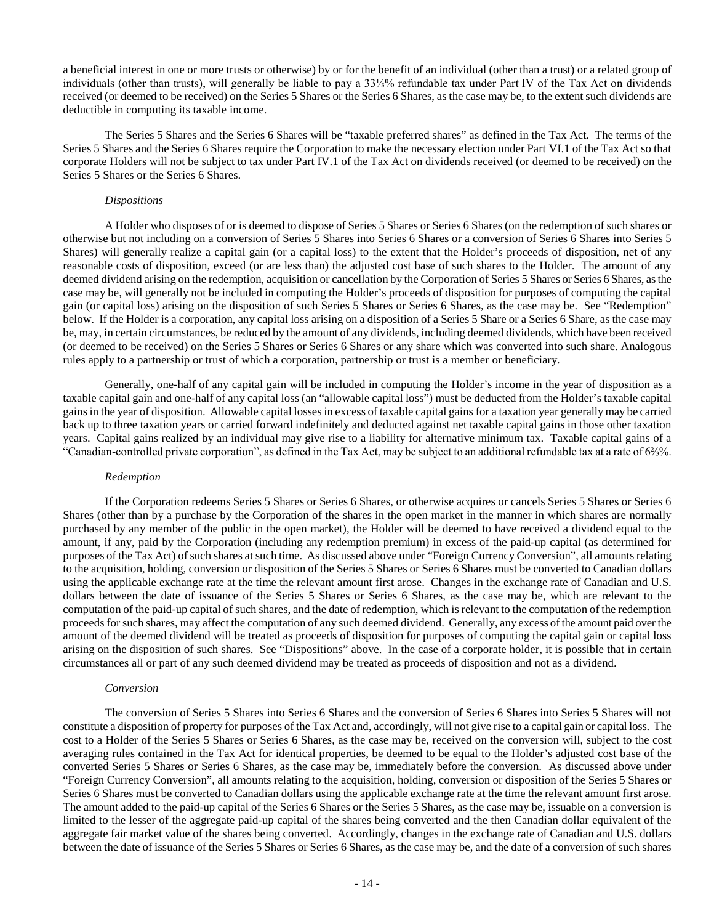a beneficial interest in one or more trusts or otherwise) by or for the benefit of an individual (other than a trust) or a related group of individuals (other than trusts), will generally be liable to pay a 33⅓% refundable tax under Part IV of the Tax Act on dividends received (or deemed to be received) on the Series 5 Shares or the Series 6 Shares, as the case may be, to the extent such dividends are deductible in computing its taxable income.

The Series 5 Shares and the Series 6 Shares will be "taxable preferred shares" as defined in the Tax Act. The terms of the Series 5 Shares and the Series 6 Shares require the Corporation to make the necessary election under Part VI.1 of the Tax Act so that corporate Holders will not be subject to tax under Part IV.1 of the Tax Act on dividends received (or deemed to be received) on the Series 5 Shares or the Series 6 Shares.

#### *Dispositions*

A Holder who disposes of or is deemed to dispose of Series 5 Shares or Series 6 Shares (on the redemption of such shares or otherwise but not including on a conversion of Series 5 Shares into Series 6 Shares or a conversion of Series 6 Shares into Series 5 Shares) will generally realize a capital gain (or a capital loss) to the extent that the Holder's proceeds of disposition, net of any reasonable costs of disposition, exceed (or are less than) the adjusted cost base of such shares to the Holder. The amount of any deemed dividend arising on the redemption, acquisition or cancellation by the Corporation of Series 5 Shares or Series 6 Shares, as the case may be, will generally not be included in computing the Holder's proceeds of disposition for purposes of computing the capital gain (or capital loss) arising on the disposition of such Series 5 Shares or Series 6 Shares, as the case may be. See "Redemption" below. If the Holder is a corporation, any capital loss arising on a disposition of a Series 5 Share or a Series 6 Share, as the case may be, may, in certain circumstances, be reduced by the amount of any dividends, including deemed dividends, which have been received (or deemed to be received) on the Series 5 Shares or Series 6 Shares or any share which was converted into such share. Analogous rules apply to a partnership or trust of which a corporation, partnership or trust is a member or beneficiary.

Generally, one-half of any capital gain will be included in computing the Holder's income in the year of disposition as a taxable capital gain and one-half of any capital loss (an "allowable capital loss") must be deducted from the Holder's taxable capital gains in the year of disposition. Allowable capital losses in excess of taxable capital gains for a taxation year generally may be carried back up to three taxation years or carried forward indefinitely and deducted against net taxable capital gains in those other taxation years. Capital gains realized by an individual may give rise to a liability for alternative minimum tax. Taxable capital gains of a "Canadian-controlled private corporation", as defined in the Tax Act, may be subject to an additional refundable tax at a rate of 6⅔%.

#### *Redemption*

If the Corporation redeems Series 5 Shares or Series 6 Shares, or otherwise acquires or cancels Series 5 Shares or Series 6 Shares (other than by a purchase by the Corporation of the shares in the open market in the manner in which shares are normally purchased by any member of the public in the open market), the Holder will be deemed to have received a dividend equal to the amount, if any, paid by the Corporation (including any redemption premium) in excess of the paid-up capital (as determined for purposes of the Tax Act) of such shares at such time. As discussed above under "Foreign Currency Conversion", all amounts relating to the acquisition, holding, conversion or disposition of the Series 5 Shares or Series 6 Shares must be converted to Canadian dollars using the applicable exchange rate at the time the relevant amount first arose. Changes in the exchange rate of Canadian and U.S. dollars between the date of issuance of the Series 5 Shares or Series 6 Shares, as the case may be, which are relevant to the computation of the paid-up capital of such shares, and the date of redemption, which is relevant to the computation of the redemption proceeds for such shares, may affect the computation of any such deemed dividend. Generally, any excess of the amount paid over the amount of the deemed dividend will be treated as proceeds of disposition for purposes of computing the capital gain or capital loss arising on the disposition of such shares. See "Dispositions" above. In the case of a corporate holder, it is possible that in certain circumstances all or part of any such deemed dividend may be treated as proceeds of disposition and not as a dividend.

#### *Conversion*

The conversion of Series 5 Shares into Series 6 Shares and the conversion of Series 6 Shares into Series 5 Shares will not constitute a disposition of property for purposes of the Tax Act and, accordingly, will not give rise to a capital gain or capital loss. The cost to a Holder of the Series 5 Shares or Series 6 Shares, as the case may be, received on the conversion will, subject to the cost averaging rules contained in the Tax Act for identical properties, be deemed to be equal to the Holder's adjusted cost base of the converted Series 5 Shares or Series 6 Shares, as the case may be, immediately before the conversion. As discussed above under "Foreign Currency Conversion", all amounts relating to the acquisition, holding, conversion or disposition of the Series 5 Shares or Series 6 Shares must be converted to Canadian dollars using the applicable exchange rate at the time the relevant amount first arose. The amount added to the paid-up capital of the Series 6 Shares or the Series 5 Shares, as the case may be, issuable on a conversion is limited to the lesser of the aggregate paid-up capital of the shares being converted and the then Canadian dollar equivalent of the aggregate fair market value of the shares being converted. Accordingly, changes in the exchange rate of Canadian and U.S. dollars between the date of issuance of the Series 5 Shares or Series 6 Shares, as the case may be, and the date of a conversion of such shares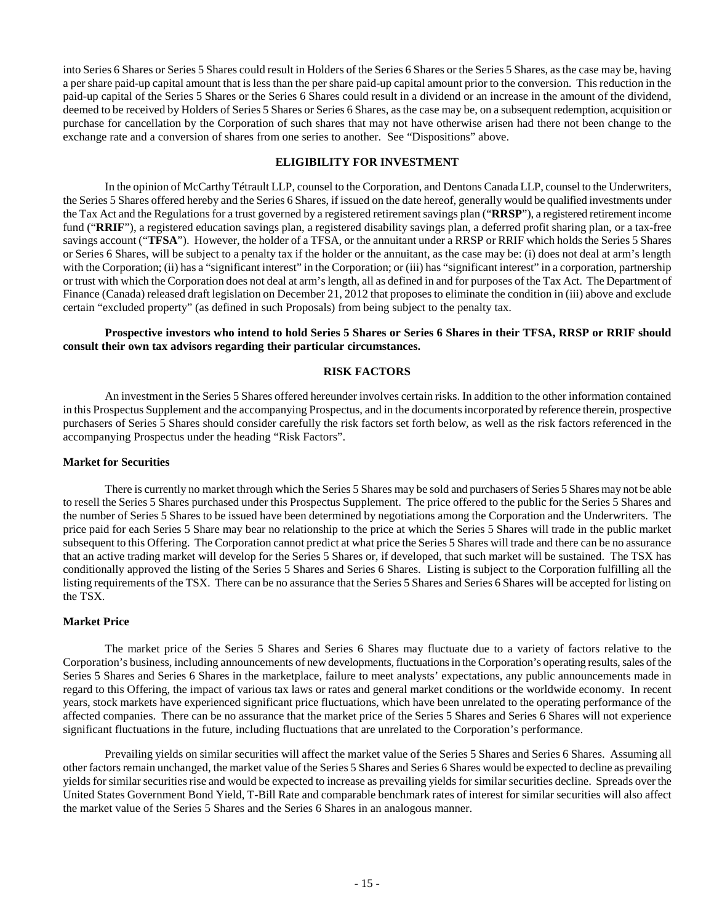into Series 6 Shares or Series 5 Shares could result in Holders of the Series 6 Shares or the Series 5 Shares, as the case may be, having a per share paid-up capital amount that is less than the per share paid-up capital amount prior to the conversion. This reduction in the paid-up capital of the Series 5 Shares or the Series 6 Shares could result in a dividend or an increase in the amount of the dividend, deemed to be received by Holders of Series 5 Shares or Series 6 Shares, as the case may be, on a subsequent redemption, acquisition or purchase for cancellation by the Corporation of such shares that may not have otherwise arisen had there not been change to the exchange rate and a conversion of shares from one series to another. See "Dispositions" above.

### <span id="page-18-0"></span>**ELIGIBILITY FOR INVESTMENT**

In the opinion of McCarthy Tétrault LLP, counsel to the Corporation, and Dentons Canada LLP, counsel to the Underwriters, the Series 5 Shares offered hereby and the Series 6 Shares, if issued on the date hereof, generally would be qualified investments under the Tax Act and the Regulations for a trust governed by a registered retirement savings plan ("**RRSP**"), a registered retirement income fund ("**RRIF**"), a registered education savings plan, a registered disability savings plan, a deferred profit sharing plan, or a tax-free savings account ("**TFSA**"). However, the holder of a TFSA, or the annuitant under a RRSP or RRIF which holds the Series 5 Shares or Series 6 Shares, will be subject to a penalty tax if the holder or the annuitant, as the case may be: (i) does not deal at arm's length with the Corporation; (ii) has a "significant interest" in the Corporation; or (iii) has "significant interest" in a corporation, partnership or trust with which the Corporation does not deal at arm's length, all as defined in and for purposes of the Tax Act. The Department of Finance (Canada) released draft legislation on December 21, 2012 that proposes to eliminate the condition in (iii) above and exclude certain "excluded property" (as defined in such Proposals) from being subject to the penalty tax.

# **Prospective investors who intend to hold Series 5 Shares or Series 6 Shares in their TFSA, RRSP or RRIF should consult their own tax advisors regarding their particular circumstances.**

# <span id="page-18-1"></span>**RISK FACTORS**

An investment in the Series 5 Shares offered hereunder involves certain risks. In addition to the other information contained in this Prospectus Supplement and the accompanying Prospectus, and in the documents incorporated by reference therein, prospective purchasers of Series 5 Shares should consider carefully the risk factors set forth below, as well as the risk factors referenced in the accompanying Prospectus under the heading "Risk Factors".

#### **Market for Securities**

There is currently no market through which the Series 5 Shares may be sold and purchasers of Series 5 Shares may not be able to resell the Series 5 Shares purchased under this Prospectus Supplement. The price offered to the public for the Series 5 Shares and the number of Series 5 Shares to be issued have been determined by negotiations among the Corporation and the Underwriters. The price paid for each Series 5 Share may bear no relationship to the price at which the Series 5 Shares will trade in the public market subsequent to this Offering. The Corporation cannot predict at what price the Series 5 Shares will trade and there can be no assurance that an active trading market will develop for the Series 5 Shares or, if developed, that such market will be sustained. The TSX has conditionally approved the listing of the Series 5 Shares and Series 6 Shares. Listing is subject to the Corporation fulfilling all the listing requirements of the TSX. There can be no assurance that the Series 5 Shares and Series 6 Shares will be accepted for listing on the TSX.

# **Market Price**

The market price of the Series 5 Shares and Series 6 Shares may fluctuate due to a variety of factors relative to the Corporation's business, including announcements of new developments, fluctuations in the Corporation's operating results, sales of the Series 5 Shares and Series 6 Shares in the marketplace, failure to meet analysts' expectations, any public announcements made in regard to this Offering, the impact of various tax laws or rates and general market conditions or the worldwide economy. In recent years, stock markets have experienced significant price fluctuations, which have been unrelated to the operating performance of the affected companies. There can be no assurance that the market price of the Series 5 Shares and Series 6 Shares will not experience significant fluctuations in the future, including fluctuations that are unrelated to the Corporation's performance.

Prevailing yields on similar securities will affect the market value of the Series 5 Shares and Series 6 Shares. Assuming all other factors remain unchanged, the market value of the Series 5 Shares and Series 6 Shares would be expected to decline as prevailing yields for similar securities rise and would be expected to increase as prevailing yields for similar securities decline. Spreads over the United States Government Bond Yield, T-Bill Rate and comparable benchmark rates of interest for similar securities will also affect the market value of the Series 5 Shares and the Series 6 Shares in an analogous manner.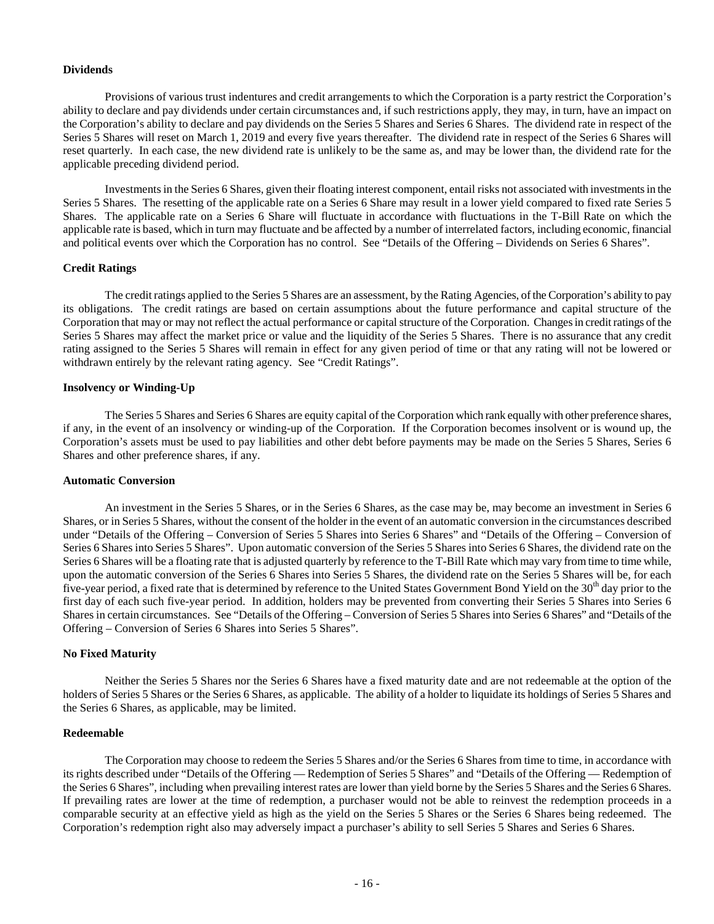#### **Dividends**

Provisions of various trust indentures and credit arrangements to which the Corporation is a party restrict the Corporation's ability to declare and pay dividends under certain circumstances and, if such restrictions apply, they may, in turn, have an impact on the Corporation's ability to declare and pay dividends on the Series 5 Shares and Series 6 Shares. The dividend rate in respect of the Series 5 Shares will reset on March 1, 2019 and every five years thereafter. The dividend rate in respect of the Series 6 Shares will reset quarterly. In each case, the new dividend rate is unlikely to be the same as, and may be lower than, the dividend rate for the applicable preceding dividend period.

Investments in the Series 6 Shares, given their floating interest component, entail risks not associated with investments in the Series 5 Shares. The resetting of the applicable rate on a Series 6 Share may result in a lower yield compared to fixed rate Series 5 Shares. The applicable rate on a Series 6 Share will fluctuate in accordance with fluctuations in the T-Bill Rate on which the applicable rate is based, which in turn may fluctuate and be affected by a number of interrelated factors, including economic, financial and political events over which the Corporation has no control. See "Details of the Offering – Dividends on Series 6 Shares".

### **Credit Ratings**

The credit ratings applied to the Series 5 Shares are an assessment, by the Rating Agencies, of the Corporation's ability to pay its obligations. The credit ratings are based on certain assumptions about the future performance and capital structure of the Corporation that may or may not reflect the actual performance or capital structure of the Corporation. Changes in credit ratings of the Series 5 Shares may affect the market price or value and the liquidity of the Series 5 Shares. There is no assurance that any credit rating assigned to the Series 5 Shares will remain in effect for any given period of time or that any rating will not be lowered or withdrawn entirely by the relevant rating agency. See "Credit Ratings".

#### **Insolvency or Winding-Up**

The Series 5 Shares and Series 6 Shares are equity capital of the Corporation which rank equally with other preference shares, if any, in the event of an insolvency or winding-up of the Corporation. If the Corporation becomes insolvent or is wound up, the Corporation's assets must be used to pay liabilities and other debt before payments may be made on the Series 5 Shares, Series 6 Shares and other preference shares, if any.

# **Automatic Conversion**

An investment in the Series 5 Shares, or in the Series 6 Shares, as the case may be, may become an investment in Series 6 Shares, or in Series 5 Shares, without the consent of the holder in the event of an automatic conversion in the circumstances described under "Details of the Offering – Conversion of Series 5 Shares into Series 6 Shares" and "Details of the Offering – Conversion of Series 6 Shares into Series 5 Shares". Upon automatic conversion of the Series 5 Shares into Series 6 Shares, the dividend rate on the Series 6 Shares will be a floating rate that is adjusted quarterly by reference to the T-Bill Rate which may vary from time to time while, upon the automatic conversion of the Series 6 Shares into Series 5 Shares, the dividend rate on the Series 5 Shares will be, for each five-year period, a fixed rate that is determined by reference to the United States Government Bond Yield on the 30<sup>th</sup> day prior to the first day of each such five-year period. In addition, holders may be prevented from converting their Series 5 Shares into Series 6 Shares in certain circumstances. See "Details of the Offering – Conversion of Series 5 Shares into Series 6 Shares" and "Details of the Offering – Conversion of Series 6 Shares into Series 5 Shares".

# **No Fixed Maturity**

Neither the Series 5 Shares nor the Series 6 Shares have a fixed maturity date and are not redeemable at the option of the holders of Series 5 Shares or the Series 6 Shares, as applicable. The ability of a holder to liquidate its holdings of Series 5 Shares and the Series 6 Shares, as applicable, may be limited.

#### **Redeemable**

The Corporation may choose to redeem the Series 5 Shares and/or the Series 6 Shares from time to time, in accordance with its rights described under "Details of the Offering — Redemption of Series 5 Shares" and "Details of the Offering — Redemption of the Series 6 Shares", including when prevailing interest rates are lower than yield borne by the Series 5 Shares and the Series 6 Shares. If prevailing rates are lower at the time of redemption, a purchaser would not be able to reinvest the redemption proceeds in a comparable security at an effective yield as high as the yield on the Series 5 Shares or the Series 6 Shares being redeemed. The Corporation's redemption right also may adversely impact a purchaser's ability to sell Series 5 Shares and Series 6 Shares.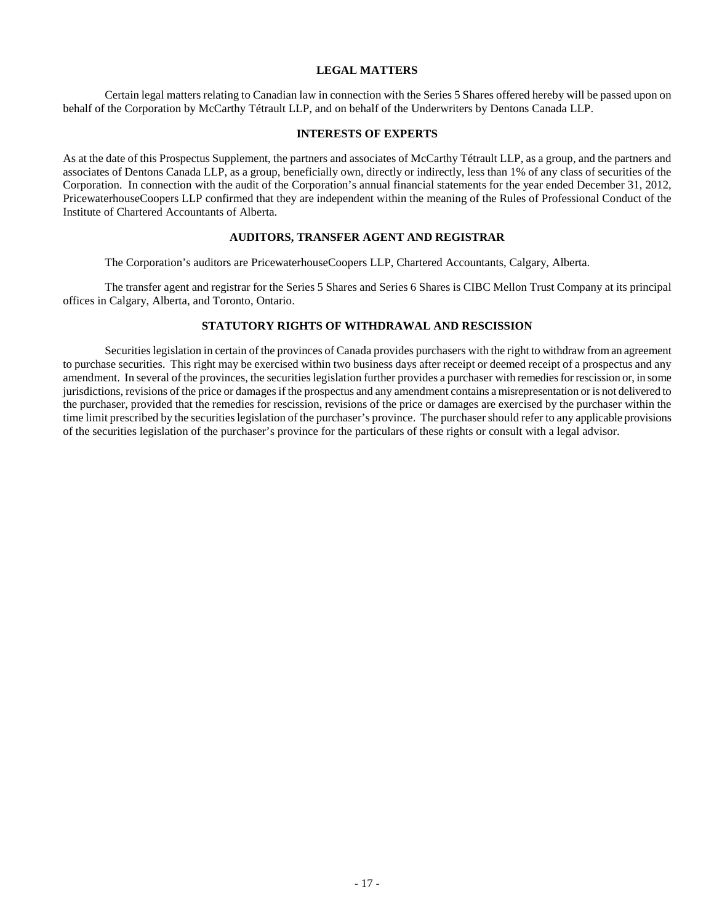# <span id="page-20-0"></span>**LEGAL MATTERS**

Certain legal matters relating to Canadian law in connection with the Series 5 Shares offered hereby will be passed upon on behalf of the Corporation by McCarthy Tétrault LLP, and on behalf of the Underwriters by Dentons Canada LLP.

### <span id="page-20-1"></span>**INTERESTS OF EXPERTS**

As at the date of this Prospectus Supplement, the partners and associates of McCarthy Tétrault LLP, as a group, and the partners and associates of Dentons Canada LLP, as a group, beneficially own, directly or indirectly, less than 1% of any class of securities of the Corporation. In connection with the audit of the Corporation's annual financial statements for the year ended December 31, 2012, PricewaterhouseCoopers LLP confirmed that they are independent within the meaning of the Rules of Professional Conduct of the Institute of Chartered Accountants of Alberta.

# <span id="page-20-2"></span>**AUDITORS, TRANSFER AGENT AND REGISTRAR**

The Corporation's auditors are PricewaterhouseCoopers LLP, Chartered Accountants, Calgary, Alberta.

The transfer agent and registrar for the Series 5 Shares and Series 6 Shares is CIBC Mellon Trust Company at its principal offices in Calgary, Alberta, and Toronto, Ontario.

# <span id="page-20-3"></span>**STATUTORY RIGHTS OF WITHDRAWAL AND RESCISSION**

Securities legislation in certain of the provinces of Canada provides purchasers with the right to withdraw from an agreement to purchase securities. This right may be exercised within two business days after receipt or deemed receipt of a prospectus and any amendment. In several of the provinces, the securities legislation further provides a purchaser with remedies for rescission or, in some jurisdictions, revisions of the price or damages if the prospectus and any amendment contains a misrepresentation or is not delivered to the purchaser, provided that the remedies for rescission, revisions of the price or damages are exercised by the purchaser within the time limit prescribed by the securities legislation of the purchaser's province. The purchaser should refer to any applicable provisions of the securities legislation of the purchaser's province for the particulars of these rights or consult with a legal advisor.